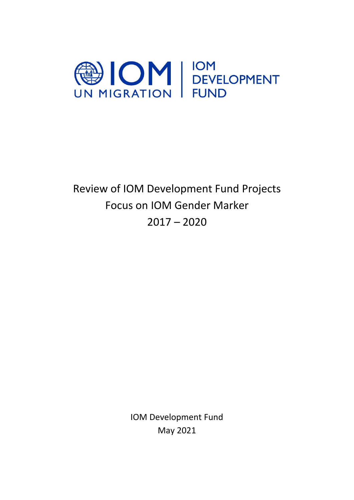

Review of IOM Development Fund Projects Focus on IOM Gender Marker  $2017 - 2020$ 

> IOM Development Fund May 2021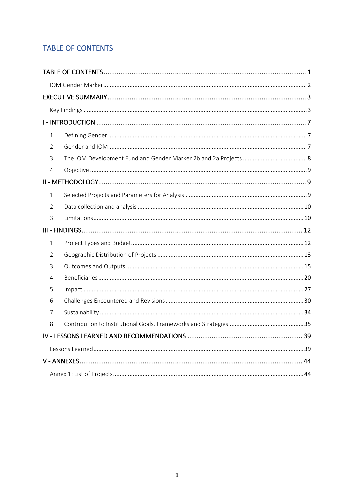# <span id="page-1-0"></span>**TABLE OF CONTENTS**

| 1. |  |  |  |  |  |
|----|--|--|--|--|--|
| 2. |  |  |  |  |  |
| 3. |  |  |  |  |  |
| 4. |  |  |  |  |  |
|    |  |  |  |  |  |
| 1. |  |  |  |  |  |
| 2. |  |  |  |  |  |
| 3. |  |  |  |  |  |
|    |  |  |  |  |  |
| 1. |  |  |  |  |  |
| 2. |  |  |  |  |  |
| 3. |  |  |  |  |  |
| 4. |  |  |  |  |  |
| 5. |  |  |  |  |  |
| 6. |  |  |  |  |  |
| 7. |  |  |  |  |  |
| 8. |  |  |  |  |  |
|    |  |  |  |  |  |
|    |  |  |  |  |  |
|    |  |  |  |  |  |
|    |  |  |  |  |  |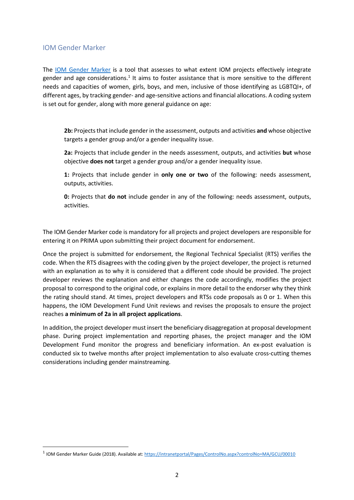### <span id="page-2-0"></span>IOM Gender Marker

The [IOM Gender Marker](https://intranetportal/Pages/ControlNo.aspx?controlNo=MA/GCU/00010) is a tool that assesses to what extent IOM projects effectively integrate gender and age considerations.<sup>1</sup> It aims to foster assistance that is more sensitive to the different needs and capacities of women, girls, boys, and men, inclusive of those identifying as LGBTQI+, of different ages, by tracking gender- and age-sensitive actions and financial allocations. A coding system is set out for gender, along with more general guidance on age:

**2b:** Projects that include gender in the assessment, outputs and activities **and** whose objective targets a gender group and/or a gender inequality issue.

**2a:** Projects that include gender in the needs assessment, outputs, and activities **but** whose objective **does not** target a gender group and/or a gender inequality issue.

**1:** Projects that include gender in **only one or two** of the following: needs assessment, outputs, activities.

**0:** Projects that **do not** include gender in any of the following: needs assessment, outputs, activities.

The IOM Gender Marker code is mandatory for all projects and project developers are responsible for entering it on PRIMA upon submitting their project document for endorsement.

Once the project is submitted for endorsement, the Regional Technical Specialist (RTS) verifies the code. When the RTS disagrees with the coding given by the project developer, the project is returned with an explanation as to why it is considered that a different code should be provided. The project developer reviews the explanation and either changes the code accordingly, modifies the project proposal to correspond to the original code, or explains in more detail to the endorser why they think the rating should stand. At times, project developers and RTSs code proposals as 0 or 1. When this happens, the IOM Development Fund Unit reviews and revises the proposals to ensure the project reaches **a minimum of 2a in all project applications**.

In addition, the project developer must insert the beneficiary disaggregation at proposal development phase. During project implementation and reporting phases, the project manager and the IOM Development Fund monitor the progress and beneficiary information. An ex-post evaluation is conducted six to twelve months after project implementation to also evaluate cross-cutting themes considerations including gender mainstreaming.

<sup>1</sup> IOM Gender Marker Guide (2018). Available at:<https://intranetportal/Pages/ControlNo.aspx?controlNo=MA/GCU/00010>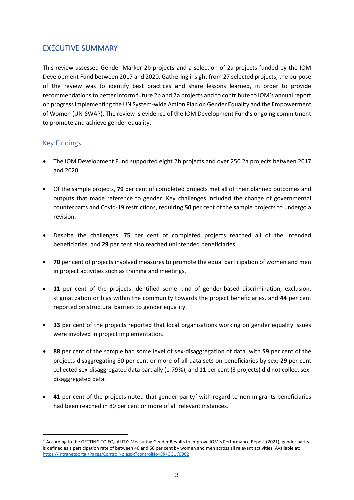# <span id="page-3-0"></span>EXECUTIVE SUMMARY

This review assessed Gender Marker 2b projects and a selection of 2a projects funded by the IOM Development Fund between 2017 and 2020. Gathering insight from 27 selected projects, the purpose of the review was to identify best practices and share lessons learned, in order to provide recommendations to better inform future 2b and 2a projects and to contribute to IOM's annual report on progress implementing the UN System-wide Action Plan on Gender Equality and the Empowerment of Women (UN-SWAP). The review is evidence of the IOM Development Fund's ongoing commitment to promote and achieve gender equality.

# <span id="page-3-1"></span>Key Findings

- The IOM Development Fund supported eight 2b projects and over 250 2a projects between 2017 and 2020.
- Of the sample projects, **79** per cent of completed projects met all of their planned outcomes and outputs that made reference to gender. Key challenges included the change of governmental counterparts and Covid-19 restrictions, requiring **50** per cent of the sample projects to undergo a revision.
- Despite the challenges, **75** per cent of completed projects reached all of the intended beneficiaries, and **29** per cent also reached unintended beneficiaries.
- **70** per cent of projects involved measures to promote the equal participation of women and men in project activities such as training and meetings.
- **11** per cent of the projects identified some kind of gender-based discrimination, exclusion, stigmatization or bias within the community towards the project beneficiaries, and **44** per cent reported on structural barriers to gender equality.
- **33** per cent of the projects reported that local organizations working on gender equality issues were involved in project implementation.
- **88** per cent of the sample had some level of sex-disaggregation of data, with **59** per cent of the projects disaggregating 80 per cent or more of all data sets on beneficiaries by sex; **29** per cent collected sex-disaggregated data partially (1-79%), and **11** per cent (3 projects) did not collect sexdisaggregated data.
- $\bullet$  **41** per cent of the projects noted that gender parity<sup>2</sup> with regard to non-migrants beneficiaries had been reached in 80 per cent or more of all relevant instances.

<sup>&</sup>lt;sup>2</sup> According to the GETTING TO EQUALITY: Measuring Gender Results to Improve IOM's Performance Report (2021), gender parity is defined as a participation rate of between 40 and 60 per cent by women and men across all relevant activities. Available at: <https://intranetportal/Pages/ControlNo.aspx?controlNo=SR/GCU/0002>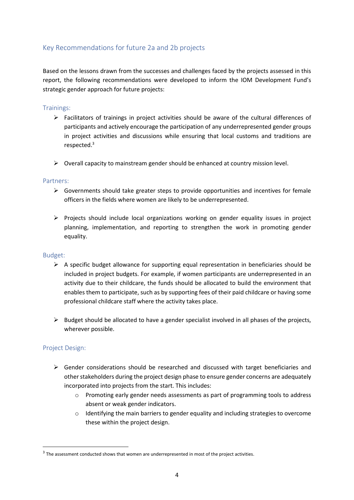# Key Recommendations for future 2a and 2b projects

Based on the lessons drawn from the successes and challenges faced by the projects assessed in this report, the following recommendations were developed to inform the IOM Development Fund's strategic gender approach for future projects:

### Trainings:

- ➢ Facilitators of trainings in project activities should be aware of the cultural differences of participants and actively encourage the participation of any underrepresented gender groups in project activities and discussions while ensuring that local customs and traditions are respected. 3
- $\triangleright$  Overall capacity to mainstream gender should be enhanced at country mission level.

#### Partners:

- $\triangleright$  Governments should take greater steps to provide opportunities and incentives for female officers in the fields where women are likely to be underrepresented.
- ➢ Projects should include local organizations working on gender equality issues in project planning, implementation, and reporting to strengthen the work in promoting gender equality.

### Budget:

- $\triangleright$  A specific budget allowance for supporting equal representation in beneficiaries should be included in project budgets. For example, if women participants are underrepresented in an activity due to their childcare, the funds should be allocated to build the environment that enables them to participate, such as by supporting fees of their paid childcare or having some professional childcare staff where the activity takes place.
- $\triangleright$  Budget should be allocated to have a gender specialist involved in all phases of the projects, wherever possible.

### Project Design:

- $\triangleright$  Gender considerations should be researched and discussed with target beneficiaries and other stakeholders during the project design phase to ensure gender concerns are adequately incorporated into projects from the start. This includes:
	- o Promoting early gender needs assessments as part of programming tools to address absent or weak gender indicators.
	- $\circ$  Identifying the main barriers to gender equality and including strategies to overcome these within the project design.

 $3$  The assessment conducted shows that women are underrepresented in most of the project activities.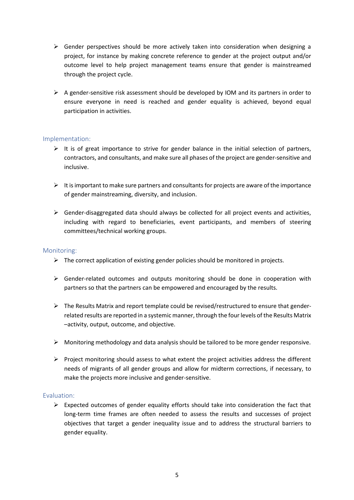- $\triangleright$  Gender perspectives should be more actively taken into consideration when designing a project, for instance by making concrete reference to gender at the project output and/or outcome level to help project management teams ensure that gender is mainstreamed through the project cycle.
- $\triangleright$  A gender-sensitive risk assessment should be developed by IOM and its partners in order to ensure everyone in need is reached and gender equality is achieved, beyond equal participation in activities.

#### Implementation:

- $\triangleright$  It is of great importance to strive for gender balance in the initial selection of partners, contractors, and consultants, and make sure all phases of the project are gender-sensitive and inclusive.
- $\triangleright$  It is important to make sure partners and consultants for projects are aware of the importance of gender mainstreaming, diversity, and inclusion.
- $\triangleright$  Gender-disaggregated data should always be collected for all project events and activities, including with regard to beneficiaries, event participants, and members of steering committees/technical working groups.

#### Monitoring:

- $\triangleright$  The correct application of existing gender policies should be monitored in projects.
- ➢ Gender-related outcomes and outputs monitoring should be done in cooperation with partners so that the partners can be empowered and encouraged by the results.
- $\triangleright$  The Results Matrix and report template could be revised/restructured to ensure that genderrelated results are reported in a systemic manner, through the fourlevels of the Results Matrix –activity, output, outcome, and objective.
- ➢ Monitoring methodology and data analysis should be tailored to be more gender responsive.
- $\triangleright$  Project monitoring should assess to what extent the project activities address the different needs of migrants of all gender groups and allow for midterm corrections, if necessary, to make the projects more inclusive and gender-sensitive.

#### Evaluation:

 $\triangleright$  Expected outcomes of gender equality efforts should take into consideration the fact that long-term time frames are often needed to assess the results and successes of project objectives that target a gender inequality issue and to address the structural barriers to gender equality.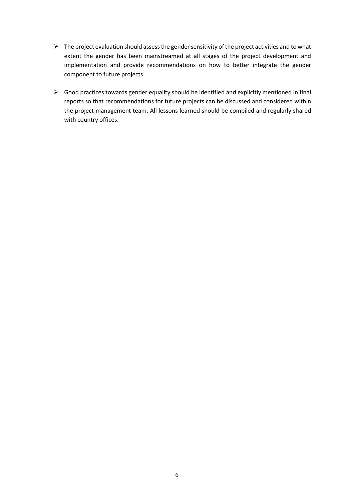- $\triangleright$  The project evaluation should assess the gender sensitivity of the project activities and to what extent the gender has been mainstreamed at all stages of the project development and implementation and provide recommendations on how to better integrate the gender component to future projects.
- ➢ Good practices towards gender equality should be identified and explicitly mentioned in final reports so that recommendations for future projects can be discussed and considered within the project management team. All lessons learned should be compiled and regularly shared with country offices.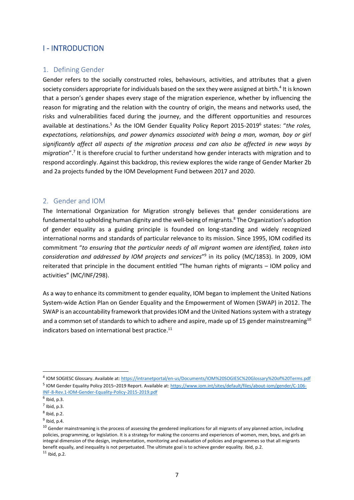# <span id="page-7-0"></span>I - INTRODUCTION

### <span id="page-7-1"></span>1. Defining Gender

Gender refers to the socially constructed roles, behaviours, activities, and attributes that a given society considers appropriate for individuals based on the sex they were assigned at birth.<sup>4</sup> It is known that a person's gender shapes every stage of the migration experience, whether by influencing the reason for migrating and the relation with the country of origin, the means and networks used, the risks and vulnerabilities faced during the journey, and the different opportunities and resources available at destinations.<sup>5</sup> As the IOM Gender Equality Policy Report 2015-2019<sup>6</sup> states: "the roles, *expectations, relationships, and power dynamics associated with being a man, woman, boy or girl significantly affect all aspects of the migration process and can also be affected in new ways by*  migration".<sup>7</sup> It is therefore crucial to further understand how gender interacts with migration and to respond accordingly. Against this backdrop, this review explores the wide range of Gender Marker 2b and 2a projects funded by the IOM Development Fund between 2017 and 2020.

#### <span id="page-7-2"></span>2. Gender and IOM

The International Organization for Migration strongly believes that gender considerations are fundamental to upholding human dignity and the well-being of migrants. <sup>8</sup> The Organization's adoption of gender equality as a guiding principle is founded on long-standing and widely recognized international norms and standards of particular relevance to its mission. Since 1995, IOM codified its commitment "*to ensuring that the particular needs of all migrant women are identified, taken into consideration and addressed by IOM projects and services*" 9 in its policy (MC/1853). In 2009, IOM reiterated that principle in the document entitled "The human rights of migrants – IOM policy and activities" (MC/INF/298).

As a way to enhance its commitment to gender equality, IOM began to implement the United Nations System-wide Action Plan on Gender Equality and the Empowerment of Women (SWAP) in 2012. The SWAP is an accountability framework that provides IOM and the United Nations system with a strategy and a common set of standards to which to adhere and aspire, made up of 15 gender mainstreaming<sup>10</sup> indicators based on international best practice.<sup>11</sup>

<sup>4</sup> IOM SOGIESC Glossary. Available at:<https://intranetportal/en-us/Documents/IOM%20SOGIESC%20Glossary%20of%20Terms.pdf> <sup>5</sup> IOM Gender Equality Policy 2015–2019 Report. Available at[: https://www.iom.int/sites/default/files/about-iom/gender/C-106-](https://www.iom.int/sites/default/files/about-iom/gender/C-106-INF-8-Rev.1-IOM-Gender-Equality-Policy-2015-2019.pdf) [INF-8-Rev.1-IOM-Gender-Equality-Policy-2015-2019.pdf](https://www.iom.int/sites/default/files/about-iom/gender/C-106-INF-8-Rev.1-IOM-Gender-Equality-Policy-2015-2019.pdf)

 $<sup>6</sup>$  Ibid, p.3.</sup>

 $<sup>7</sup>$  Ibid, p.3.</sup>

 $<sup>8</sup>$  Ibid, p.2.</sup>

 $<sup>9</sup>$  Ibid, p.4.</sup>

 $10$  Gender mainstreaming is the process of assessing the gendered implications for all migrants of any planned action, including policies, programming, or legislation. It is a strategy for making the concerns and experiences of women, men, boys, and girls an integral dimension of the design, implementation, monitoring and evaluation of policies and programmes so that all migrants benefit equally, and inequality is not perpetuated. The ultimate goal is to achieve gender equality. Ibid, p.2.  $11$  Ibid, p.2.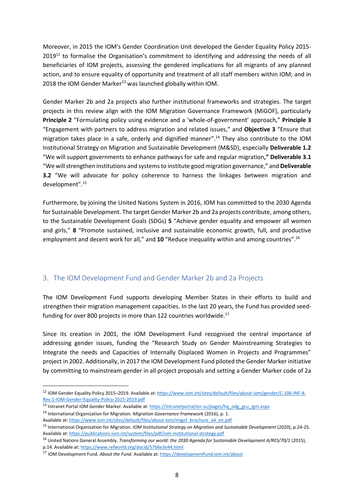Moreover, in 2015 the IOM's Gender Coordination Unit developed the Gender Equality Policy 2015- 2019<sup>12</sup> to formalise the Organisation's commitment to identifying and addressing the needs of all beneficiaries of IOM projects, assessing the gendered implications for all migrants of any planned action, and to ensure equality of opportunity and treatment of all staff members within IOM; and in 2018 the IOM Gender Marker<sup>13</sup> was launched globally within IOM.

Gender Marker 2b and 2a projects also further institutional frameworks and strategies. The target projects in this review align with the IOM Migration Governance Framework (MiGOF), particularly **Principle 2** "Formulating policy using evidence and a 'whole-of-government' approach," **Principle 3** "Engagement with partners to address migration and related issues," and **Objective 3** "Ensure that migration takes place in a safe, orderly and dignified manner". <sup>14</sup> They also contribute to the IOM Institutional Strategy on Migration and Sustainable Development (M&SD), especially **Deliverable 1.2** "We will support governments to enhance pathways for safe and regular migration**," Deliverable 3.1** "We will strengthen institutions and systems to institute good migration governance," and **Deliverable 3.2** "We will advocate for policy coherence to harness the linkages between migration and development". 15

Furthermore, by joining the United Nations System in 2016, IOM has committed to the 2030 Agenda for Sustainable Development. The target Gender Marker 2b and 2a projects contribute, among others, to the Sustainable Development Goals (SDGs) **5** "Achieve gender equality and empower all women and girls," **8** "Promote sustained, inclusive and sustainable economic growth, full, and productive employment and decent work for all," and **10** "Reduce inequality within and among countries". 16

## <span id="page-8-0"></span>3. The IOM Development Fund and Gender Marker 2b and 2a Projects

The IOM Development Fund supports developing Member States in their efforts to build and strengthen their migration management capacities. In the last 20 years, the Fund has provided seedfunding for over 800 projects in more than 122 countries worldwide.<sup>17</sup>

Since its creation in 2001, the IOM Development Fund recognised the central importance of addressing gender issues, funding the "Research Study on Gender Mainstreaming Strategies to Integrate the needs and Capacities of Internally Displaced Women in Projects and Programmes" project in 2002. Additionally, in 2017 the IOM Development Fund piloted the Gender Marker initiative by committing to mainstream gender in all project proposals and setting a Gender Marker code of 2a

<sup>12</sup> IOM Gender Equality Policy 2015–2019. Available at[: https://www.iom.int/sites/default/files/about-iom/gender/C-106-INF-8-](https://www.iom.int/sites/default/files/about-iom/gender/C-106-INF-8-Rev.1-IOM-Gender-Equality-Policy-2015-2019.pdf) [Rev.1-IOM-Gender-Equality-Policy-2015-2019.pdf](https://www.iom.int/sites/default/files/about-iom/gender/C-106-INF-8-Rev.1-IOM-Gender-Equality-Policy-2015-2019.pdf)

<sup>13</sup> Intranet Portal IOM Gender Marker. Available at: [https://intranetportal/en-us/pages/hq\\_odg\\_gcu\\_igm.aspx](https://intranetportal/en-us/pages/hq_odg_gcu_igm.aspx)

<sup>14</sup> International Organization for Migration. *Migration Governance Framework* (2016), p. 1. Available at[: https://www.iom.int/sites/default/files/about-iom/migof\\_brochure\\_a4\\_en.pdf](https://www.iom.int/sites/default/files/about-iom/migof_brochure_a4_en.pdf)

<sup>15</sup> International Organization for Migration. *IOM Institutional Strategy on Migration and Sustainable Development* (2020), p.24-25. Available at[: https://publications.iom.int/system/files/pdf/iom-institutional-strategy.pdf](https://publications.iom.int/system/files/pdf/iom-institutional-strategy.pdf)

<sup>16</sup> United Nations General Assembly. *Transforming our world: the 2030 Agenda for Sustainable Development A/RES/70/1* (2015), p.14. Available at:<https://www.refworld.org/docid/57b6e3e44.html>

<sup>17</sup> IOM Development Fund. *About the Fund.* Available at[: https://developmentfund.iom.int/about](https://developmentfund.iom.int/about)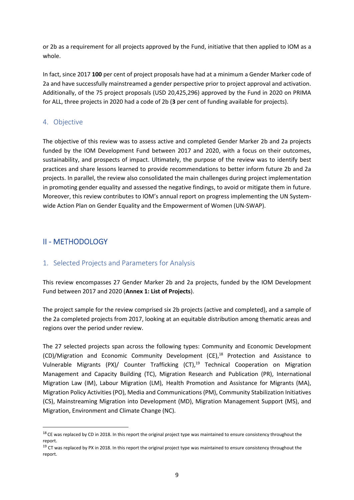or 2b as a requirement for all projects approved by the Fund, initiative that then applied to IOM as a whole.

In fact, since 2017 **100** per cent of project proposals have had at a minimum a Gender Marker code of 2a and have successfully mainstreamed a gender perspective prior to project approval and activation. Additionally, of the 75 project proposals (USD 20,425,296) approved by the Fund in 2020 on PRIMA for ALL, three projects in 2020 had a code of 2b (**3** per cent of funding available for projects).

# <span id="page-9-0"></span>4. Objective

The objective of this review was to assess active and completed Gender Marker 2b and 2a projects funded by the IOM Development Fund between 2017 and 2020, with a focus on their outcomes, sustainability, and prospects of impact. Ultimately, the purpose of the review was to identify best practices and share lessons learned to provide recommendations to better inform future 2b and 2a projects. In parallel, the review also consolidated the main challenges during project implementation in promoting gender equality and assessed the negative findings, to avoid or mitigate them in future. Moreover, this review contributes to IOM's annual report on progress implementing the UN Systemwide Action Plan on Gender Equality and the Empowerment of Women (UN-SWAP).

# <span id="page-9-1"></span>II - METHODOLOGY

# <span id="page-9-2"></span>1. Selected Projects and Parameters for Analysis

This review encompasses 27 Gender Marker 2b and 2a projects, funded by the IOM Development Fund between 2017 and 2020 (**Annex 1: List of Projects**).

The project sample for the review comprised six 2b projects (active and completed), and a sample of the 2a completed projects from 2017, looking at an equitable distribution among thematic areas and regions over the period under review.

The 27 selected projects span across the following types: Community and Economic Development (CD)/Migration and Economic Community Development (CE), <sup>18</sup> Protection and Assistance to Vulnerable Migrants (PX)/ Counter Trafficking (CT),<sup>19</sup> Technical Cooperation on Migration Management and Capacity Building (TC), Migration Research and Publication (PR), International Migration Law (IM), Labour Migration (LM), Health Promotion and Assistance for Migrants (MA), Migration Policy Activities (PO), Media and Communications (PM), Community Stabilization Initiatives (CS), Mainstreaming Migration into Development (MD), Migration Management Support (MS), and Migration, Environment and Climate Change (NC).

 $18$  CE was replaced by CD in 2018. In this report the original project type was maintained to ensure consistency throughout the report.

<sup>&</sup>lt;sup>19</sup> CT was replaced by PX in 2018. In this report the original project type was maintained to ensure consistency throughout the report.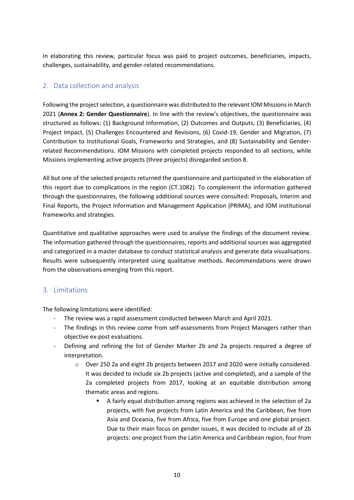In elaborating this review, particular focus was paid to project outcomes, beneficiaries, impacts, challenges, sustainability, and gender-related recommendations.

# <span id="page-10-0"></span>2. Data collection and analysis

Following the project selection, a questionnaire was distributed to the relevant IOM Missions in March 2021 (**Annex 2: Gender Questionnaire**). In line with the review's objectives, the questionnaire was structured as follows: (1) Background Information, (2) Outcomes and Outputs, (3) Beneficiaries, (4) Project Impact, (5) Challenges Encountered and Revisions, (6) Covid-19, Gender and Migration, (7) Contribution to Institutional Goals, Frameworks and Strategies, and (8) Sustainability and Genderrelated Recommendations. IOM Missions with completed projects responded to all sections, while Missions implementing active projects (three projects) disregarded section 8.

All but one of the selected projects returned the questionnaire and participated in the elaboration of this report due to complications in the region (CT.1082). To complement the information gathered through the questionnaires, the following additional sources were consulted: Proposals, Interim and Final Reports, the Project Information and Management Application (PRIMA), and IOM institutional frameworks and strategies.

Quantitative and qualitative approaches were used to analyse the findings of the document review. The information gathered through the questionnaires, reports and additional sources was aggregated and categorized in a master database to conduct statistical analysis and generate data visualisations. Results were subsequently interpreted using qualitative methods. Recommendations were drawn from the observations emerging from this report.

# <span id="page-10-1"></span>3. Limitations

The following limitations were identified:

- The review was a rapid assessment conducted between March and April 2021.
- The findings in this review come from self-assessments from Project Managers rather than objective ex-post evaluations.
- Defining and refining the list of Gender Marker 2b and 2a projects required a degree of interpretation.
	- o Over 250 2a and eight 2b projects between 2017 and 2020 were initially considered. It was decided to include six 2b projects (active and completed), and a sample of the 2a completed projects from 2017, looking at an equitable distribution among thematic areas and regions.
		- A fairly equal distribution among regions was achieved in the selection of 2a projects, with five projects from Latin America and the Caribbean, five from Asia and Oceania, five from Africa, five from Europe and one global project. Due to their main focus on gender issues, it was decided to include all of 2b projects: one project from the Latin America and Caribbean region, four from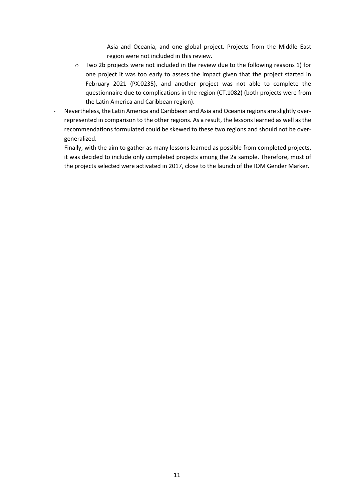Asia and Oceania, and one global project. Projects from the Middle East region were not included in this review.

- $\circ$  Two 2b projects were not included in the review due to the following reasons 1) for one project it was too early to assess the impact given that the project started in February 2021 (PX.0235), and another project was not able to complete the questionnaire due to complications in the region (CT.1082) (both projects were from the Latin America and Caribbean region).
- Nevertheless, the Latin America and Caribbean and Asia and Oceania regions are slightly overrepresented in comparison to the other regions. As a result, the lessons learned as well as the recommendations formulated could be skewed to these two regions and should not be overgeneralized.
- Finally, with the aim to gather as many lessons learned as possible from completed projects, it was decided to include only completed projects among the 2a sample. Therefore, most of the projects selected were activated in 2017, close to the launch of the IOM Gender Marker.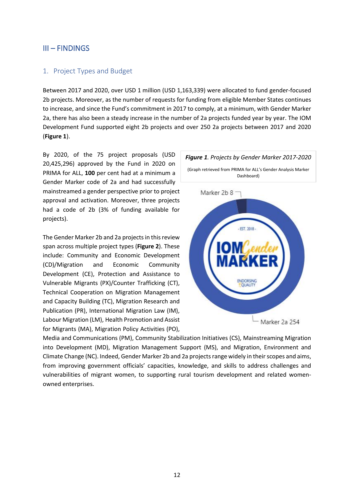# <span id="page-12-0"></span>III – FINDINGS

### <span id="page-12-1"></span>1. Project Types and Budget

Between 2017 and 2020, over USD 1 million (USD 1,163,339) were allocated to fund gender-focused 2b projects. Moreover, as the number of requests for funding from eligible Member States continues to increase, and since the Fund's commitment in 2017 to comply, at a minimum, with Gender Marker 2a, there has also been a steady increase in the number of 2a projects funded year by year. The IOM Development Fund supported eight 2b projects and over 250 2a projects between 2017 and 2020 (**Figure 1**).

By 2020, of the 75 project proposals (USD 20,425,296) approved by the Fund in 2020 on PRIMA for ALL, **100** per cent had at a minimum a Gender Marker code of 2a and had successfully mainstreamed a gender perspective prior to project approval and activation. Moreover, three projects had a code of 2b (3% of funding available for projects).

The Gender Marker 2b and 2a projects in this review span across multiple project types (**Figure 2**). These include: Community and Economic Development (CD)/Migration and Economic Community Development (CE), Protection and Assistance to Vulnerable Migrants (PX)/Counter Trafficking (CT), Technical Cooperation on Migration Management and Capacity Building (TC), Migration Research and Publication (PR), International Migration Law (IM), Labour Migration (LM), Health Promotion and Assist for Migrants (MA), Migration Policy Activities (PO),



Media and Communications (PM), Community Stabilization Initiatives (CS), Mainstreaming Migration into Development (MD), Migration Management Support (MS), and Migration, Environment and Climate Change (NC). Indeed, Gender Marker 2b and 2a projects range widely in their scopes and aims, from improving government officials' capacities, knowledge, and skills to address challenges and vulnerabilities of migrant women, to supporting rural tourism development and related womenowned enterprises.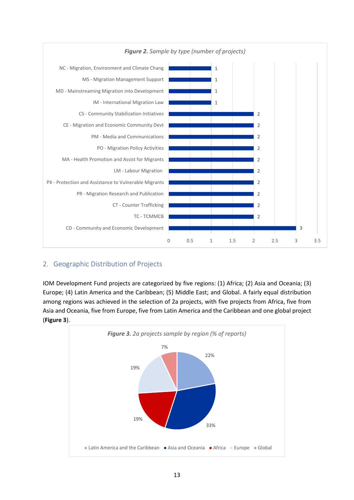

# <span id="page-13-0"></span>2. Geographic Distribution of Projects

IOM Development Fund projects are categorized by five regions: (1) Africa; (2) Asia and Oceania; (3) Europe; (4) Latin America and the Caribbean; (5) Middle East; and Global. A fairly equal distribution among regions was achieved in the selection of 2a projects, with five projects from Africa, five from Asia and Oceania, five from Europe, five from Latin America and the Caribbean and one global project (**Figure 3**).

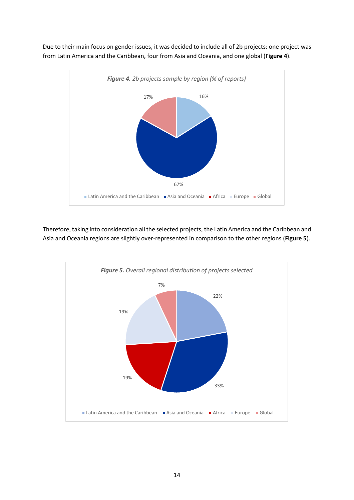

Due to their main focus on gender issues, it was decided to include all of 2b projects: one project was from Latin America and the Caribbean, four from Asia and Oceania, and one global (**Figure 4**).

Therefore, taking into consideration all the selected projects, the Latin America and the Caribbean and Asia and Oceania regions are slightly over-represented in comparison to the other regions (**Figure 5**).

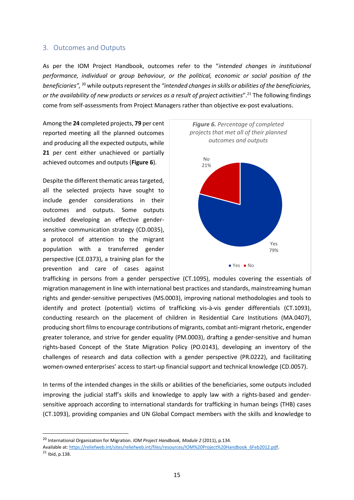#### <span id="page-15-0"></span>3. Outcomes and Outputs

As per the IOM Project Handbook, outcomes refer to the "*intended changes in institutional performance, individual or group behaviour, or the political, economic or social position of the beneficiaries",* <sup>20</sup> while outputs represent the *"intended changes in skills or abilities of the beneficiaries, or the availability of new products or services as a result of project activities*". <sup>21</sup> The following findings come from self-assessments from Project Managers rather than objective ex-post evaluations.

Among the **24** completed projects, **79** per cent reported meeting all the planned outcomes and producing all the expected outputs, while 21 per cent either unachieved or partially achieved outcomes and outputs (**Figure 6**).

Despite the different thematic areas targeted, all the selected projects have sought to include gender considerations in their outcomes and outputs. Some outputs included developing an effective gendersensitive communication strategy (CD.0035), a protocol of attention to the migrant population with a transferred gender perspective (CE.0373), a training plan for the prevention and care of cases against



trafficking in persons from a gender perspective (CT.1095), modules covering the essentials of migration management in line with international best practices and standards, mainstreaming human rights and gender-sensitive perspectives (MS.0003), improving national methodologies and tools to identify and protect (potential) victims of trafficking vis-à-vis gender differentials (CT.1093), conducting research on the placement of children in Residential Care Institutions (MA.0407), producing short films to encourage contributions of migrants, combat anti-migrant rhetoric, engender greater tolerance, and strive for gender equality (PM.0003), drafting a gender-sensitive and human rights-based Concept of the State Migration Policy (PO.0143), developing an inventory of the challenges of research and data collection with a gender perspective (PR.0222), and facilitating women-owned enterprises' access to start-up financial support and technical knowledge (CD.0057).

In terms of the intended changes in the skills or abilities of the beneficiaries, some outputs included improving the judicial staff's skills and knowledge to apply law with a rights-based and gendersensitive approach according to international standards for trafficking in human beings (THB) cases (CT.1093), providing companies and UN Global Compact members with the skills and knowledge to

<sup>20</sup> International Organization for Migration. *IOM Project Handbook, Module 2* (2011), p.134.

Available at[: https://reliefweb.int/sites/reliefweb.int/files/resources/IOM%20Project%20Handbook\\_6Feb2012.pdf.](https://reliefweb.int/sites/reliefweb.int/files/resources/IOM%20Project%20Handbook_6Feb2012.pdf)  $21$  Ibid, p.138.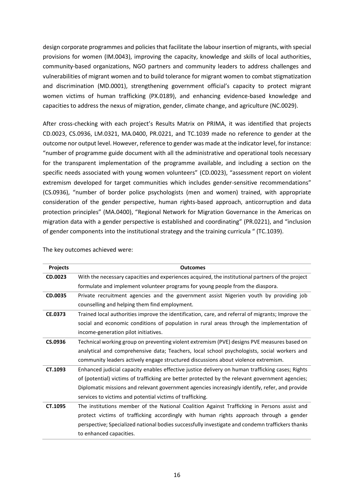design corporate programmes and policies that facilitate the labour insertion of migrants, with special provisions for women (IM.0043), improving the capacity, knowledge and skills of local authorities, community-based organizations, NGO partners and community leaders to address challenges and vulnerabilities of migrant women and to build tolerance for migrant women to combat stigmatization and discrimination (MD.0001), strengthening government official's capacity to protect migrant women victims of human trafficking (PX.0189), and enhancing evidence-based knowledge and capacities to address the nexus of migration, gender, climate change, and agriculture (NC.0029).

After cross-checking with each project's Results Matrix on PRIMA, it was identified that projects CD.0023, CS.0936, LM.0321, MA.0400, PR.0221, and TC.1039 made no reference to gender at the outcome nor output level. However, reference to gender was made at the indicator level, for instance: "number of programme guide document with all the administrative and operational tools necessary for the transparent implementation of the programme available, and including a section on the specific needs associated with young women volunteers" (CD.0023), "assessment report on violent extremism developed for target communities which includes gender-sensitive recommendations" (CS.0936), "number of border police psychologists (men and women) trained, with appropriate consideration of the gender perspective, human rights-based approach, anticorruption and data protection principles" (MA.0400), "Regional Network for Migration Governance in the Americas on migration data with a gender perspective is established and coordinating" (PR.0221), and "inclusion of gender components into the institutional strategy and the training curricula " (TC.1039).

| <b>Projects</b> | <b>Outcomes</b>                                                                                   |
|-----------------|---------------------------------------------------------------------------------------------------|
| CD.0023         | With the necessary capacities and experiences acquired, the institutional partners of the project |
|                 | formulate and implement volunteer programs for young people from the diaspora.                    |
| CD.0035         | Private recruitment agencies and the government assist Nigerien youth by providing job            |
|                 | counselling and helping them find employment.                                                     |
| CE.0373         | Trained local authorities improve the identification, care, and referral of migrants; Improve the |
|                 | social and economic conditions of population in rural areas through the implementation of         |
|                 | income-generation pilot initiatives.                                                              |
| CS.0936         | Technical working group on preventing violent extremism (PVE) designs PVE measures based on       |
|                 | analytical and comprehensive data; Teachers, local school psychologists, social workers and       |
|                 | community leaders actively engage structured discussions about violence extremism.                |
| CT.1093         | Enhanced judicial capacity enables effective justice delivery on human trafficking cases; Rights  |
|                 | of (potential) victims of trafficking are better protected by the relevant government agencies;   |
|                 | Diplomatic missions and relevant government agencies increasingly identify, refer, and provide    |
|                 | services to victims and potential victims of trafficking.                                         |
| CT.1095         | The institutions member of the National Coalition Against Trafficking in Persons assist and       |
|                 | protect victims of trafficking accordingly with human rights approach through a gender            |
|                 | perspective; Specialized national bodies successfully investigate and condemn traffickers thanks  |
|                 | to enhanced capacities.                                                                           |

The key outcomes achieved were: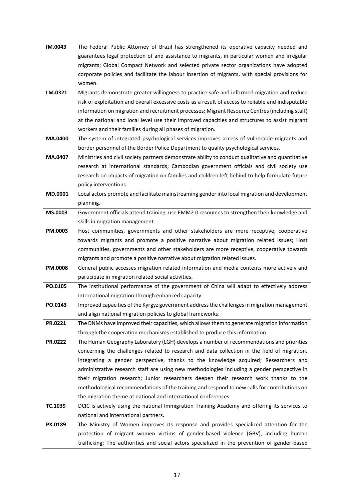| IM.0043 | The Federal Public Attorney of Brazil has strengthened its operative capacity needed and            |
|---------|-----------------------------------------------------------------------------------------------------|
|         | guarantees legal protection of and assistance to migrants, in particular women and irregular        |
|         | migrants; Global Compact Network and selected private sector organizations have adopted             |
|         | corporate policies and facilitate the labour insertion of migrants, with special provisions for     |
|         | women.                                                                                              |
| LM.0321 | Migrants demonstrate greater willingness to practice safe and informed migration and reduce         |
|         | risk of exploitation and overall excessive costs as a result of access to reliable and indisputable |
|         | information on migration and recruitment processes; Migrant Resource Centres (including staff)      |
|         | at the national and local level use their improved capacities and structures to assist migrant      |
|         | workers and their families during all phases of migration.                                          |
| MA.0400 | The system of integrated psychological services improves access of vulnerable migrants and          |
|         | border personnel of the Border Police Department to quality psychological services.                 |
| MA.0407 | Ministries and civil society partners demonstrate ability to conduct qualitative and quantitative   |
|         | research at international standards; Cambodian government officials and civil society use           |
|         | research on impacts of migration on families and children left behind to help formulate future      |
|         | policy interventions.                                                                               |
| MD.0001 | Local actors promote and facilitate mainstreaming gender into local migration and development       |
|         | planning.                                                                                           |
| MS.0003 | Government officials attend training, use EMM2.0 resources to strengthen their knowledge and        |
|         | skills in migration management.                                                                     |
| PM.0003 | Host communities, governments and other stakeholders are more receptive, cooperative                |
|         | towards migrants and promote a positive narrative about migration related issues; Host              |
|         | communities, governments and other stakeholders are more receptive, cooperative towards             |
|         | migrants and promote a positive narrative about migration related issues.                           |
| PM.0008 | General public accesses migration related information and media contents more actively and          |
|         | participate in migration related social activities.                                                 |
| PO.0105 | The institutional performance of the government of China will adapt to effectively address          |
|         | international migration through enhanced capacity.                                                  |
| PO.0143 | Improved capacities of the Kyrgyz government address the challenges in migration management         |
|         | and align national migration policies to global frameworks.                                         |
| PR.0221 | The DNMs have improved their capacities, which allows them to generate migration information        |
|         | through the cooperation mechanisms established to produce this information.                         |
| PR.0222 | The Human Geography Laboratory (LGH) develops a number of recommendations and priorities            |
|         | concerning the challenges related to research and data collection in the field of migration,        |
|         | integrating a gender perspective, thanks to the knowledge acquired; Researchers and                 |
|         | administrative research staff are using new methodologies including a gender perspective in         |
|         | their migration research; Junior researchers deepen their research work thanks to the               |
|         | methodological recommendations of the training and respond to new calls for contributions on        |
|         | the migration theme at national and international conferences.                                      |
| TC.1039 | DCIC is actively using the national Immigration Training Academy and offering its services to       |
|         | national and international partners.                                                                |
| PX.0189 | The Ministry of Women improves its response and provides specialized attention for the              |
|         | protection of migrant women victims of gender-based violence (GBV), including human                 |
|         | trafficking; The authorities and social actors specialized in the prevention of gender-based        |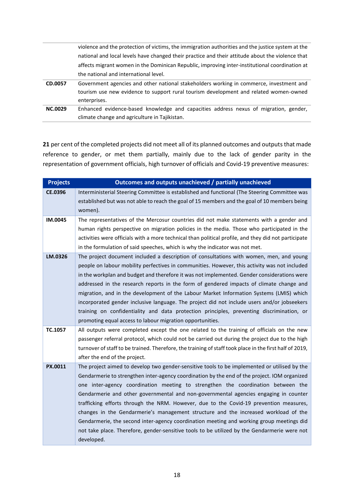|                | violence and the protection of victims, the immigration authorities and the justice system at the |  |  |
|----------------|---------------------------------------------------------------------------------------------------|--|--|
|                | national and local levels have changed their practice and their attitude about the violence that  |  |  |
|                | affects migrant women in the Dominican Republic, improving inter-institutional coordination at    |  |  |
|                | the national and international level.                                                             |  |  |
| CD.0057        | Government agencies and other national stakeholders working in commerce, investment and           |  |  |
|                | tourism use new evidence to support rural tourism development and related women-owned             |  |  |
|                | enterprises.                                                                                      |  |  |
| <b>NC.0029</b> | Enhanced evidence-based knowledge and capacities address nexus of migration, gender,              |  |  |
|                |                                                                                                   |  |  |

**21** per cent of the completed projects did not meet all of its planned outcomes and outputs that made reference to gender, or met them partially, mainly due to the lack of gender parity in the representation of government officials, high turnover of officials and Covid-19 preventive measures:

| <b>Projects</b> | Outcomes and outputs unachieved / partially unachieved                                                  |
|-----------------|---------------------------------------------------------------------------------------------------------|
| <b>CE.0396</b>  | Interministerial Steering Committee is established and functional (The Steering Committee was           |
|                 | established but was not able to reach the goal of 15 members and the goal of 10 members being           |
|                 | women).                                                                                                 |
| IM.0045         | The representatives of the Mercosur countries did not make statements with a gender and                 |
|                 | human rights perspective on migration policies in the media. Those who participated in the              |
|                 | activities were officials with a more technical than political profile, and they did not participate    |
|                 | in the formulation of said speeches, which is why the indicator was not met.                            |
| LM.0326         | The project document included a description of consultations with women, men, and young                 |
|                 | people on labour mobility perfectives in communities. However, this activity was not included           |
|                 | in the workplan and budget and therefore it was not implemented. Gender considerations were             |
|                 | addressed in the research reports in the form of gendered impacts of climate change and                 |
|                 | migration, and in the development of the Labour Market Information Systems (LMIS) which                 |
|                 | incorporated gender inclusive language. The project did not include users and/or jobseekers             |
|                 | training on confidentiality and data protection principles, preventing discrimination, or               |
|                 | promoting equal access to labour migration opportunities.                                               |
| TC.1057         | All outputs were completed except the one related to the training of officials on the new               |
|                 | passenger referral protocol, which could not be carried out during the project due to the high          |
|                 | turnover of staff to be trained. Therefore, the training of staff took place in the first half of 2019, |
|                 | after the end of the project.                                                                           |
| PX.0011         | The project aimed to develop two gender-sensitive tools to be implemented or utilised by the            |
|                 | Gendarmerie to strengthen inter-agency coordination by the end of the project. IOM organized            |
|                 | one inter-agency coordination meeting to strengthen the coordination between the                        |
|                 | Gendarmerie and other governmental and non-governmental agencies engaging in counter                    |
|                 | trafficking efforts through the NRM. However, due to the Covid-19 prevention measures,                  |
|                 | changes in the Gendarmerie's management structure and the increased workload of the                     |
|                 | Gendarmerie, the second inter-agency coordination meeting and working group meetings did                |
|                 | not take place. Therefore, gender-sensitive tools to be utilized by the Gendarmerie were not            |
|                 | developed.                                                                                              |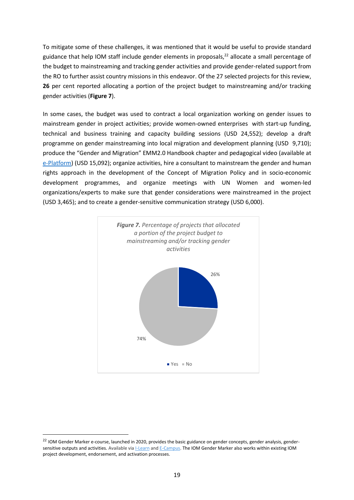To mitigate some of these challenges, it was mentioned that it would be useful to provide standard guidance that help IOM staff include gender elements in proposals, <sup>22</sup> allocate a small percentage of the budget to mainstreaming and tracking gender activities and provide gender-related support from the RO to further assist country missions in this endeavor. Of the 27 selected projects for this review, **26** per cent reported allocating a portion of the project budget to mainstreaming and/or tracking gender activities (**Figure 7**).

In some cases, the budget was used to contract a local organization working on gender issues to mainstream gender in project activities; provide women-owned enterprises with start-up funding, technical and business training and capacity building sessions (USD 24,552); develop a draft programme on gender mainstreaming into local migration and development planning (USD 9,710); produce the "Gender and Migration" EMM2.0 Handbook chapter and pedagogical video (available at [e-Platform\)](https://emm.iom.int/handbooks/gender-and-migration) (USD 15,092); organize activities, hire a consultant to mainstream the gender and human rights approach in the development of the Concept of Migration Policy and in socio-economic development programmes, and organize meetings with UN Women and women-led organizations/experts to make sure that gender considerations were mainstreamed in the project (USD 3,465); and to create a gender-sensitive communication strategy (USD 6,000).



<sup>&</sup>lt;sup>22</sup> IOM Gender Marker e-course, launched in 2020, provides the basic guidance on gender concepts, gender analysis, gendersensitive outputs and activities. Available via [I-Learn](https://iom.csod.com/LMS/LoDetails/DetailsLo.aspx?loid=797daccd-cf35-4b88-a893-c1fa270906fc&query=?s=1&q=iom%20gender%20marker&back_key=1#t=1) and [E-Campus.](https://www.ecampus.iom.int/course/view.php?id=92) The IOM Gender Marker also works within existing IOM project development, endorsement, and activation processes.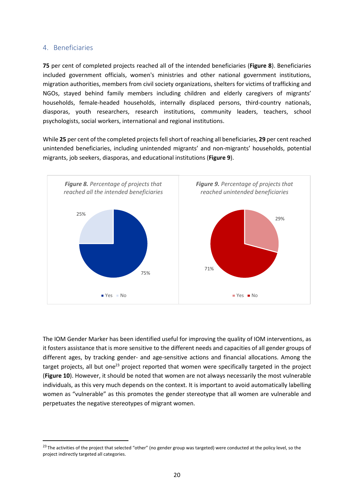#### <span id="page-20-0"></span>4. Beneficiaries

**75** per cent of completed projects reached all of the intended beneficiaries (**Figure 8**). Beneficiaries included government officials, women's ministries and other national government institutions, migration authorities, members from civil society organizations, shelters for victims of trafficking and NGOs, stayed behind family members including children and elderly caregivers of migrants' households, female-headed households, internally displaced persons, third-country nationals, diasporas, youth researchers, research institutions, community leaders, teachers, school psychologists, social workers, international and regional institutions.

While **25** per cent of the completed projects fell short of reaching all beneficiaries, **29** per cent reached unintended beneficiaries, including unintended migrants' and non-migrants' households, potential migrants, job seekers, diasporas, and educational institutions (**Figure 9**).



The IOM Gender Marker has been identified useful for improving the quality of IOM interventions, as it fosters assistance that is more sensitive to the different needs and capacities of all gender groups of different ages, by tracking gender- and age-sensitive actions and financial allocations. Among the target projects, all but one<sup>23</sup> project reported that women were specifically targeted in the project (**Figure 10**). However, it should be noted that women are not always necessarily the most vulnerable individuals, as this very much depends on the context. It is important to avoid automatically labelling women as "vulnerable" as this promotes the gender stereotype that all women are vulnerable and perpetuates the negative stereotypes of migrant women.

<sup>&</sup>lt;sup>23</sup> The activities of the project that selected "other" (no gender group was targeted) were conducted at the policy level, so the project indirectly targeted all categories.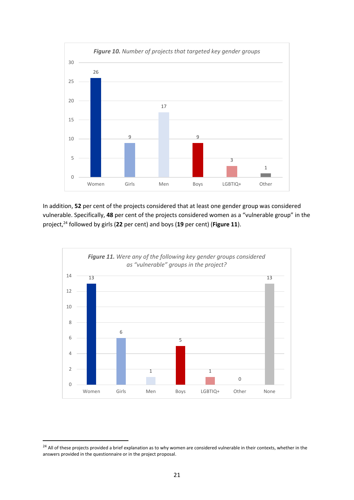

In addition, **52** per cent of the projects considered that at least one gender group was considered vulnerable. Specifically, **48** per cent of the projects considered women as a "vulnerable group" in the project, <sup>24</sup> followed by girls (**22** per cent) and boys (**19** per cent) (**Figure 11**).



<sup>&</sup>lt;sup>24</sup> All of these projects provided a brief explanation as to why women are considered vulnerable in their contexts, whether in the answers provided in the questionnaire or in the project proposal.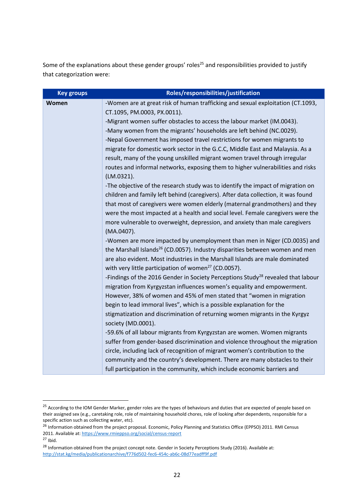Some of the explanations about these gender groups' roles<sup>25</sup> and responsibilities provided to justify that categorization were:

| <b>Key groups</b> | Roles/responsibilities/justification                                                          |  |  |
|-------------------|-----------------------------------------------------------------------------------------------|--|--|
| Women             | -Women are at great risk of human trafficking and sexual exploitation (CT.1093,               |  |  |
|                   | CT.1095, PM.0003, PX.0011).                                                                   |  |  |
|                   | -Migrant women suffer obstacles to access the labour market (IM.0043).                        |  |  |
|                   | -Many women from the migrants' households are left behind (NC.0029).                          |  |  |
|                   | -Nepal Government has imposed travel restrictions for women migrants to                       |  |  |
|                   | migrate for domestic work sector in the G.C.C, Middle East and Malaysia. As a                 |  |  |
|                   | result, many of the young unskilled migrant women travel through irregular                    |  |  |
|                   | routes and informal networks, exposing them to higher vulnerabilities and risks<br>(LM.0321). |  |  |
|                   | -The objective of the research study was to identify the impact of migration on               |  |  |
|                   | children and family left behind (caregivers). After data collection, it was found             |  |  |
|                   | that most of caregivers were women elderly (maternal grandmothers) and they                   |  |  |
|                   | were the most impacted at a health and social level. Female caregivers were the               |  |  |
|                   | more vulnerable to overweight, depression, and anxiety than male caregivers                   |  |  |
|                   | (MA.0407).                                                                                    |  |  |
|                   | -Women are more impacted by unemployment than men in Niger (CD.0035) and                      |  |  |
|                   | the Marshall Islands <sup>26</sup> (CD.0057). Industry disparities between women and men      |  |  |
|                   | are also evident. Most industries in the Marshall Islands are male dominated                  |  |  |
|                   | with very little participation of women <sup>27</sup> (CD.0057).                              |  |  |
|                   | -Findings of the 2016 Gender in Society Perceptions Study <sup>28</sup> revealed that labour  |  |  |
|                   | migration from Kyrgyzstan influences women's equality and empowerment.                        |  |  |
|                   | However, 38% of women and 45% of men stated that "women in migration                          |  |  |
|                   | begin to lead immoral lives", which is a possible explanation for the                         |  |  |
|                   | stigmatization and discrimination of returning women migrants in the Kyrgyz                   |  |  |
|                   | society (MD.0001).                                                                            |  |  |
|                   | -59.6% of all labour migrants from Kyrgyzstan are women. Women migrants                       |  |  |
|                   | suffer from gender-based discrimination and violence throughout the migration                 |  |  |
|                   | circle, including lack of recognition of migrant women's contribution to the                  |  |  |
|                   | community and the country's development. There are many obstacles to their                    |  |  |
|                   | full participation in the community, which include economic barriers and                      |  |  |

<sup>&</sup>lt;sup>25</sup> According to the IOM Gender Marker, gender roles are the types of behaviours and duties that are expected of people based on their assigned sex (e.g., caretaking role, role of maintaining household chores, role of looking after dependents, responsible for a specific action such as collecting water, etc).

<sup>&</sup>lt;sup>26</sup> Information obtained from the project proposal. Economic, Policy Planning and Statistics Office (EPPSO) 2011. RMI Census 2011. Available at:<https://www.rmieppso.org/social/census-report>

 $27$  Ibid.

<sup>&</sup>lt;sup>28</sup> Information obtained from the project concept note. Gender in Society Perceptions Study (2016). Available at: <http://stat.kg/media/publicationarchive/f776d502-fec6-454c-ab6c-08d77eadff9f.pdf>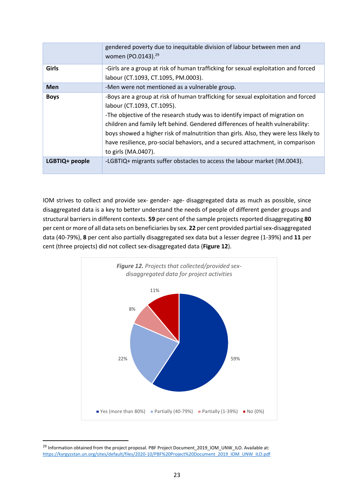|                | gendered poverty due to inequitable division of labour between men and<br>women (PO.0143). <sup>29</sup>                                                                                                                                                                                                                                                                                                                                                                          |
|----------------|-----------------------------------------------------------------------------------------------------------------------------------------------------------------------------------------------------------------------------------------------------------------------------------------------------------------------------------------------------------------------------------------------------------------------------------------------------------------------------------|
| <b>Girls</b>   | -Girls are a group at risk of human trafficking for sexual exploitation and forced<br>labour (CT.1093, CT.1095, PM.0003).                                                                                                                                                                                                                                                                                                                                                         |
| <b>Men</b>     | -Men were not mentioned as a vulnerable group.                                                                                                                                                                                                                                                                                                                                                                                                                                    |
|                |                                                                                                                                                                                                                                                                                                                                                                                                                                                                                   |
| <b>Boys</b>    | -Boys are a group at risk of human trafficking for sexual exploitation and forced<br>labour (CT.1093, CT.1095).<br>-The objective of the research study was to identify impact of migration on<br>children and family left behind. Gendered differences of health vulnerability:<br>boys showed a higher risk of malnutrition than girls. Also, they were less likely to<br>have resilience, pro-social behaviors, and a secured attachment, in comparison<br>to girls (MA.0407). |
| LGBTIQ+ people | -LGBTIQ+ migrants suffer obstacles to access the labour market (IM.0043).                                                                                                                                                                                                                                                                                                                                                                                                         |

IOM strives to collect and provide sex- gender- age- disaggregated data as much as possible, since disaggregated data is a key to better understand the needs of people of different gender groups and structural barriers in different contexts. **59** per cent of the sample projects reported disaggregating **80** per cent or more of all data sets on beneficiaries by sex. **22** per cent provided partial sex-disaggregated data (40-79%), **8** per cent also partially disaggregated sex data but a lesser degree (1-39%) and **11** per cent (three projects) did not collect sex-disaggregated data (**Figure 12**).



<sup>&</sup>lt;sup>29</sup> Information obtained from the project proposal. PBF Project Document\_2019\_IOM\_UNW\_ILO. Available at: [https://kyrgyzstan.un.org/sites/default/files/2020-10/PBF%20Project%20Document\\_2019\\_IOM\\_UNW\\_ILO.pdf](https://kyrgyzstan.un.org/sites/default/files/2020-10/PBF%20Project%20Document_2019_IOM_UNW_ILO.pdf)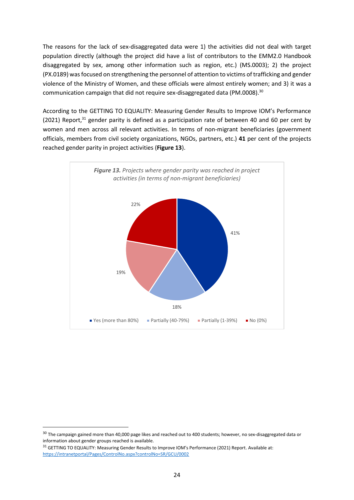The reasons for the lack of sex-disaggregated data were 1) the activities did not deal with target population directly (although the project did have a list of contributors to the EMM2.0 Handbook disaggregated by sex, among other information such as region, etc.) (MS.0003); 2) the project (PX.0189) was focused on strengthening the personnel of attention to victims of trafficking and gender violence of the Ministry of Women, and these officials were almost entirely women; and 3) it was a communication campaign that did not require sex-disaggregated data (PM.0008).<sup>30</sup>

According to the GETTING TO EQUALITY: Measuring Gender Results to Improve IOM's Performance (2021) Report, $31$  gender parity is defined as a participation rate of between 40 and 60 per cent by women and men across all relevant activities. In terms of non-migrant beneficiaries (government officials, members from civil society organizations, NGOs, partners, etc.) **41** per cent of the projects reached gender parity in project activities (**Figure 13**).



<sup>&</sup>lt;sup>30</sup> The campaign gained more than 40,000 page likes and reached out to 400 students; however, no sex-disaggregated data or information about gender groups reached is available.

<sup>&</sup>lt;sup>31</sup> GETTING TO EQUALITY: Measuring Gender Results to Improve IOM's Performance (2021) Report. Available at: <https://intranetportal/Pages/ControlNo.aspx?controlNo=SR/GCU/0002>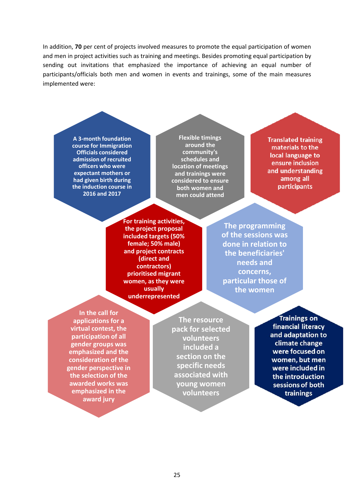In addition, **70** per cent of projects involved measures to promote the equal participation of women and men in project activities such as training and meetings. Besides promoting equal participation by sending out invitations that emphasized the importance of achieving an equal number of participants/officials both men and women in events and trainings, some of the main measures implemented were:

> **A 3-month foundation course for Immigration Officials considered admission of recruited officers who were expectant mothers or had given birth during the induction course in 2016 and 2017**

**Flexible timings around the community's schedules and location of meetings and trainings were considered to ensure both women and men could attend**

**Translated training** materials to the local language to ensure inclusion and understanding among all **participants** 

**For training activities, the project proposal included targets (50% female; 50% male) and project contracts (direct and contractors) prioritised migrant women, as they were usually underrepresented**

**The programming of the sessions was done in relation to the beneficiaries' needs and concerns, particular those of the women**

**In the call for applications for a virtual contest, the participation of all gender groups was emphasized and the consideration of the gender perspective in the selection of the awarded works was emphasized in the award jury**

**The resource pack for selected volunteers included a section on the specific needs associated with young women volunteers**

**Trainings on** financial literacy and adaptation to climate change were focused on women, but men were included in the introduction sessions of both trainings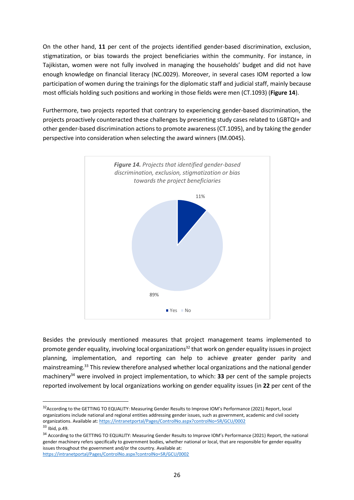On the other hand, **11** per cent of the projects identified gender-based discrimination, exclusion, stigmatization, or bias towards the project beneficiaries within the community. For instance, in Tajikistan, women were not fully involved in managing the households' budget and did not have enough knowledge on financial literacy (NC.0029). Moreover, in several cases IOM reported a low participation of women during the trainings for the diplomatic staff and judicial staff, mainly because most officials holding such positions and working in those fields were men (CT.1093) (**Figure 14**).

Furthermore, two projects reported that contrary to experiencing gender-based discrimination, the projects proactively counteracted these challenges by presenting study cases related to LGBTQI+ and other gender-based discrimination actions to promote awareness (CT.1095), and by taking the gender perspective into consideration when selecting the award winners (IM.0045).



Besides the previously mentioned measures that project management teams implemented to promote gender equality, involving local organizations<sup>32</sup> that work on gender equality issues in project planning, implementation, and reporting can help to achieve greater gender parity and mainstreaming. <sup>33</sup> This review therefore analysed whether local organizations and the national gender machinery<sup>34</sup> were involved in project implementation, to which: **33** per cent of the sample projects reported involvement by local organizations working on gender equality issues (in **22** per cent of the

<sup>&</sup>lt;sup>32</sup> According to the GETTING TO EQUALITY: Measuring Gender Results to Improve IOM's Performance (2021) Report, local organizations include national and regional entities addressing gender issues, such as government, academic and civil society organizations. Available at:<https://intranetportal/Pages/ControlNo.aspx?controlNo=SR/GCU/0002> <sup>33</sup> Ibid, p.49.

<sup>&</sup>lt;sup>34</sup> According to the GETTING TO EQUALITY: Measuring Gender Results to Improve IOM's Performance (2021) Report, the national gender machinery refers specifically to government bodies, whether national or local, that are responsible for gender equality issues throughout the government and/or the country. Available at: <https://intranetportal/Pages/ControlNo.aspx?controlNo=SR/GCU/0002>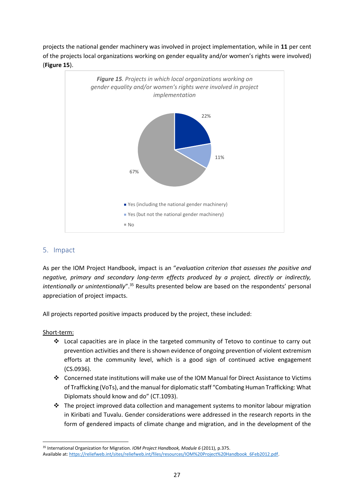projects the national gender machinery was involved in project implementation, while in **11** per cent of the projects local organizations working on gender equality and/or women's rights were involved) (**Figure 15**).



## <span id="page-27-0"></span>5. Impact

As per the IOM Project Handbook, impact is an "*evaluation criterion that assesses the positive and negative, primary and secondary long-term effects produced by a project, directly or indirectly,*  intentionally or unintentionally".<sup>35</sup> Results presented below are based on the respondents' personal appreciation of project impacts.

All projects reported positive impacts produced by the project, these included:

#### Short-term:

- ❖ Local capacities are in place in the targeted community of Tetovo to continue to carry out prevention activities and there is shown evidence of ongoing prevention of violent extremism efforts at the community level, which is a good sign of continued active engagement (CS.0936).
- ❖ Concerned state institutions will make use of the IOM Manual for Direct Assistance to Victims of Trafficking (VoTs), and the manual for diplomatic staff "Combating Human Trafficking: What Diplomats should know and do" (CT.1093).
- ❖ The project improved data collection and management systems to monitor labour migration in Kiribati and Tuvalu. Gender considerations were addressed in the research reports in the form of gendered impacts of climate change and migration, and in the development of the

<sup>35</sup> International Organization for Migration. *IOM Project Handbook, Module 6* (2011), p.375. Available at[: https://reliefweb.int/sites/reliefweb.int/files/resources/IOM%20Project%20Handbook\\_6Feb2012.pdf.](https://reliefweb.int/sites/reliefweb.int/files/resources/IOM%20Project%20Handbook_6Feb2012.pdf)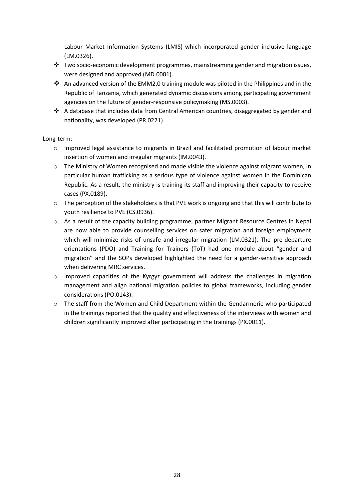Labour Market Information Systems (LMIS) which incorporated gender inclusive language (LM.0326).

- ❖ Two socio-economic development programmes, mainstreaming gender and migration issues, were designed and approved (MD.0001).
- ❖ An advanced version of the EMM2.0 training module was piloted in the Philippines and in the Republic of Tanzania, which generated dynamic discussions among participating government agencies on the future of gender-responsive policymaking (MS.0003).
- ↑ A database that includes data from Central American countries, disaggregated by gender and nationality, was developed (PR.0221).

#### Long-term:

- o Improved legal assistance to migrants in Brazil and facilitated promotion of labour market insertion of women and irregular migrants (IM.0043).
- $\circ$  The Ministry of Women recognised and made visible the violence against migrant women, in particular human trafficking as a serious type of violence against women in the Dominican Republic. As a result, the ministry is training its staff and improving their capacity to receive cases (PX.0189).
- o The perception of the stakeholders is that PVE work is ongoing and that this will contribute to youth resilience to PVE (CS.0936).
- $\circ$  As a result of the capacity building programme, partner Migrant Resource Centres in Nepal are now able to provide counselling services on safer migration and foreign employment which will minimize risks of unsafe and irregular migration (LM.0321). The pre-departure orientations (PDO) and Training for Trainers (ToT) had one module about "gender and migration" and the SOPs developed highlighted the need for a gender-sensitive approach when delivering MRC services.
- $\circ$  Improved capacities of the Kyrgyz government will address the challenges in migration management and align national migration policies to global frameworks, including gender considerations (PO.0143).
- $\circ$  The staff from the Women and Child Department within the Gendarmerie who participated in the trainings reported that the quality and effectiveness of the interviews with women and children significantly improved after participating in the trainings (PX.0011).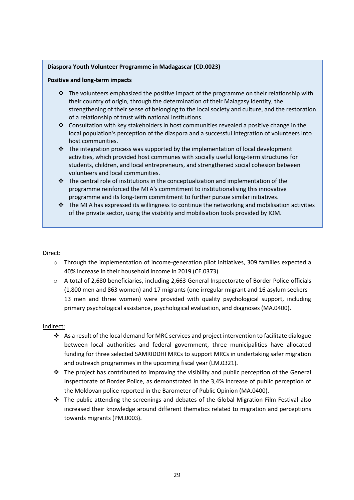#### **Diaspora Youth Volunteer Programme in Madagascar (CD.0023)**

#### **Positive and long-term impacts**

- ❖ The volunteers emphasized the positive impact of the programme on their relationship with their country of origin, through the determination of their Malagasy identity, the strengthening of their sense of belonging to the local society and culture, and the restoration of a relationship of trust with national institutions.
- ❖ Consultation with key stakeholders in host communities revealed a positive change in the local population's perception of the diaspora and a successful integration of volunteers into host communities.
- ❖ The integration process was supported by the implementation of local development activities, which provided host communes with socially useful long-term structures for students, children, and local entrepreneurs, and strengthened social cohesion between volunteers and local communities.
- $\div$  The central role of institutions in the conceptualization and implementation of the programme reinforced the MFA's commitment to institutionalising this innovative programme and its long-term commitment to further pursue similar initiatives.
- $\div$  The MFA has expressed its willingness to continue the networking and mobilisation activities of the private sector, using the visibility and mobilisation tools provided by IOM.

#### Direct:

- o Through the implementation of income-generation pilot initiatives, 309 families expected a 40% increase in their household income in 2019 (CE.0373).
- o A total of 2,680 beneficiaries, including 2,663 General Inspectorate of Border Police officials (1,800 men and 863 women) and 17 migrants (one irregular migrant and 16 asylum seekers - 13 men and three women) were provided with quality psychological support, including primary psychological assistance, psychological evaluation, and diagnoses (MA.0400).

### Indirect:

- ❖ As a result of the local demand for MRC services and project intervention to facilitate dialogue between local authorities and federal government, three municipalities have allocated funding for three selected SAMRIDDHI MRCs to support MRCs in undertaking safer migration and outreach programmes in the upcoming fiscal year (LM.0321).
- $\div$  The project has contributed to improving the visibility and public perception of the General Inspectorate of Border Police, as demonstrated in the 3,4% increase of public perception of the Moldovan police reported in the Barometer of Public Opinion (MA.0400).
- $\div$  The public attending the screenings and debates of the Global Migration Film Festival also increased their knowledge around different thematics related to migration and perceptions towards migrants (PM.0003).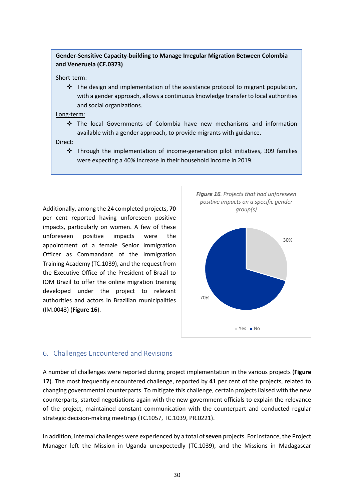### **Gender-Sensitive Capacity-building to Manage Irregular Migration Between Colombia and Venezuela (CE.0373)**

#### Short-term:

❖ The design and implementation of the assistance protocol to migrant population, with a gender approach, allows a continuous knowledge transfer to local authorities and social organizations.

#### Long-term:

❖ The local Governments of Colombia have new mechanisms and information available with a gender approach, to provide migrants with guidance.

#### Direct:

❖ Through the implementation of income-generation pilot initiatives, 309 families were expecting a 40% increase in their household income in 2019.

Additionally, among the 24 completed projects, **70** per cent reported having unforeseen positive impacts, particularly on women. A few of these unforeseen positive impacts were the appointment of a female Senior Immigration Officer as Commandant of the Immigration Training Academy (TC.1039), and the request from the Executive Office of the President of Brazil to IOM Brazil to offer the online migration training developed under the project to relevant authorities and actors in Brazilian municipalities (IM.0043) (**Figure 16**).



## <span id="page-30-0"></span>6. Challenges Encountered and Revisions

A number of challenges were reported during project implementation in the various projects (**Figure 17**). The most frequently encountered challenge, reported by **41** per cent of the projects, related to changing governmental counterparts. To mitigate this challenge, certain projects liaised with the new counterparts, started negotiations again with the new government officials to explain the relevance of the project, maintained constant communication with the counterpart and conducted regular strategic decision-making meetings (TC.1057, TC.1039, PR.0221).

In addition, internal challenges were experienced by a total of **seven** projects. For instance, the Project Manager left the Mission in Uganda unexpectedly (TC.1039), and the Missions in Madagascar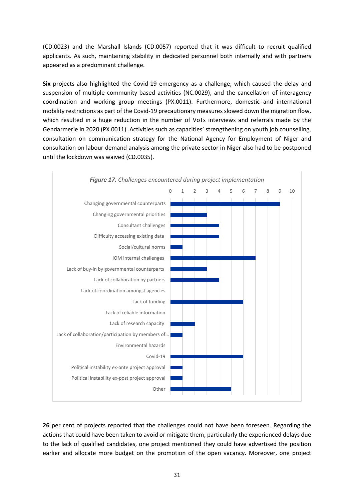(CD.0023) and the Marshall Islands (CD.0057) reported that it was difficult to recruit qualified applicants. As such, maintaining stability in dedicated personnel both internally and with partners appeared as a predominant challenge.

**Six** projects also highlighted the Covid-19 emergency as a challenge, which caused the delay and suspension of multiple community-based activities (NC.0029), and the cancellation of interagency coordination and working group meetings (PX.0011). Furthermore, domestic and international mobility restrictions as part of the Covid-19 precautionary measures slowed down the migration flow, which resulted in a huge reduction in the number of VoTs interviews and referrals made by the Gendarmerie in 2020 (PX.0011). Activities such as capacities' strengthening on youth job counselling, consultation on communication strategy for the National Agency for Employment of Niger and consultation on labour demand analysis among the private sector in Niger also had to be postponed until the lockdown was waived (CD.0035).



**26** per cent of projects reported that the challenges could not have been foreseen. Regarding the actions that could have been taken to avoid or mitigate them, particularly the experienced delays due to the lack of qualified candidates, one project mentioned they could have advertised the position earlier and allocate more budget on the promotion of the open vacancy. Moreover, one project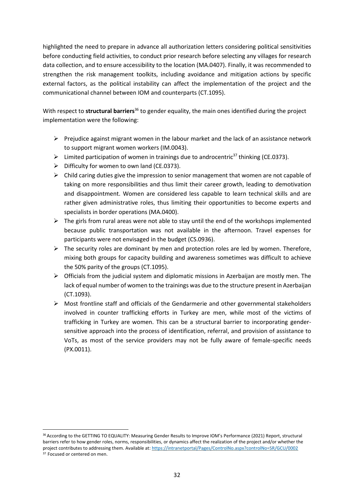highlighted the need to prepare in advance all authorization letters considering political sensitivities before conducting field activities, to conduct prior research before selecting any villages for research data collection, and to ensure accessibility to the location (MA.0407). Finally, it was recommended to strengthen the risk management toolkits, including avoidance and mitigation actions by specific external factors, as the political instability can affect the implementation of the project and the communicational channel between IOM and counterparts (CT.1095).

With respect to **structural barriers**<sup>36</sup> to gender equality, the main ones identified during the project implementation were the following:

- $\triangleright$  Prejudice against migrant women in the labour market and the lack of an assistance network to support migrant women workers (IM.0043).
- $\triangleright$  Limited participation of women in trainings due to androcentric<sup>37</sup> thinking (CE.0373).
- $\triangleright$  Difficulty for women to own land (CE.0373).
- $\triangleright$  Child caring duties give the impression to senior management that women are not capable of taking on more responsibilities and thus limit their career growth, leading to demotivation and disappointment. Women are considered less capable to learn technical skills and are rather given administrative roles, thus limiting their opportunities to become experts and specialists in border operations (MA.0400).
- $\triangleright$  The girls from rural areas were not able to stay until the end of the workshops implemented because public transportation was not available in the afternoon. Travel expenses for participants were not envisaged in the budget (CS.0936).
- $\triangleright$  The security roles are dominant by men and protection roles are led by women. Therefore, mixing both groups for capacity building and awareness sometimes was difficult to achieve the 50% parity of the groups (CT.1095).
- $\triangleright$  Officials from the judicial system and diplomatic missions in Azerbaijan are mostly men. The lack of equal number of women to the trainings was due to the structure present in Azerbaijan (CT.1093).
- $\triangleright$  Most frontline staff and officials of the Gendarmerie and other governmental stakeholders involved in counter trafficking efforts in Turkey are men, while most of the victims of trafficking in Turkey are women. This can be a structural barrier to incorporating gendersensitive approach into the process of identification, referral, and provision of assistance to VoTs, as most of the service providers may not be fully aware of female-specific needs (PX.0011).

<sup>36</sup> According to the GETTING TO EQUALITY: Measuring Gender Results to Improve IOM's Performance (2021) Report, structural barriers refer to how gender roles, norms, responsibilities, or dynamics affect the realization of the project and/or whether the project contributes to addressing them. Available at[: https://intranetportal/Pages/ControlNo.aspx?controlNo=SR/GCU/0002](https://intranetportal/Pages/ControlNo.aspx?controlNo=SR/GCU/0002)  <sup>37</sup> Focused or centered on men.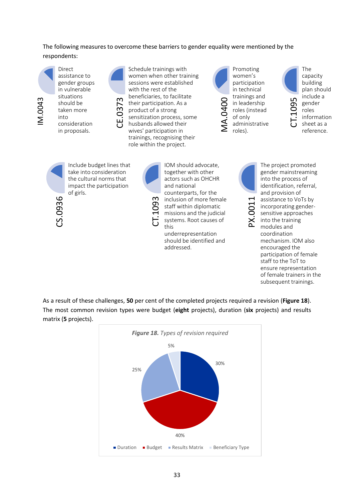The following measures to overcome these barriers to gender equality were mentioned by the respondents:



Direct assistance to gender groups in vulnerable situations should be taken more into consideration in proposals.

Schedule trainings with women when other training sessions were established with the rest of the beneficiaries, to facilitate their participation. As a product of a strong sensitization process, some husbands allowed their wives' participation in trainings, recognising their role within the project.



Promoting women's participation in technical trainings and in leadership roles (instead of only administrative roles).

CT.1095 The capacity building plan should include a gender roles information sheet as a reference.



Include budget lines that take into consideration the cultural norms that impact the participation of girls.

E.037

CT.1093

IOM should advocate, together with other actors such as OHCHR and national counterparts, for the inclusion of more female staff within diplomatic missions and the judicial systems. Root causes of this

underrepresentation should be identified and addressed.



PX.0011

into the process of identification, referral, and provision of assistance to VoTs by incorporating gendersensitive approaches into the training modules and coordination mechanism. IOM also encouraged the participation of female staff to the ToT to

The project promoted gender mainstreaming

ensure representation of female trainers in the subsequent trainings.

As a result of these challenges, **50** per cent of the completed projects required a revision (**Figure 18**). The most common revision types were budget (**eight** projects), duration (**six** projects) and results **956**<br> **CO**<br> **CO**<br> **CO**<br> **CO**<br> **CO**<br> **CO**<br> **CO**<br> **CO**<br> **CO**<br> **CO**<br> **CO**<br> **CO**<br> **CO**<br> **CO**<br> **CO**<br> **CO**<br> **CO**<br> **CO**<br> **CO**<br> **CO**<br> **CO**<br> **CO**<br> **CO**<br> **CO**<br> **CO**<br> **CO**<br> **CO**<br> **CO**<br> **CO**<br> **CO**<br> **CO**<br> **CO**<br> **CO**<br>
<br>CO<br>
<br>CO<br>
<br>CO<br>
<br>C

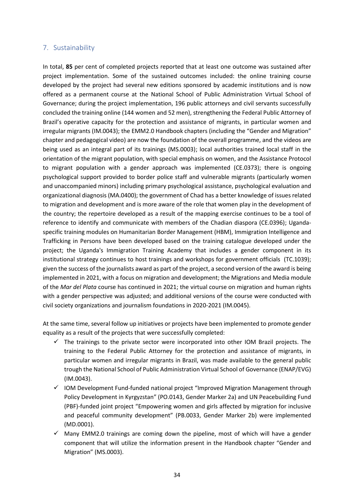### <span id="page-34-0"></span>7. Sustainability

In total, **85** per cent of completed projects reported that at least one outcome was sustained after project implementation. Some of the sustained outcomes included: the online training course developed by the project had several new editions sponsored by academic institutions and is now offered as a permanent course at the National School of Public Administration Virtual School of Governance; during the project implementation, 196 public attorneys and civil servants successfully concluded the training online (144 women and 52 men), strengthening the Federal Public Attorney of Brazil's operative capacity for the protection and assistance of migrants, in particular women and irregular migrants (IM.0043); the EMM2.0 Handbook chapters (including the "Gender and Migration" chapter and pedagogical video) are now the foundation of the overall programme, and the videos are being used as an integral part of its trainings (MS.0003); local authorities trained local staff in the orientation of the migrant population, with special emphasis on women, and the Assistance Protocol to migrant population with a gender approach was implemented (CE.0373); there is ongoing psychological support provided to border police staff and vulnerable migrants (particularly women and unaccompanied minors) including primary psychological assistance, psychological evaluation and organizational diagnosis (MA.0400); the government of Chad has a better knowledge of issues related to migration and development and is more aware of the role that women play in the development of the country; the repertoire developed as a result of the mapping exercise continues to be a tool of reference to identify and communicate with members of the Chadian diaspora (CE.0396); Ugandaspecific training modules on Humanitarian Border Management (HBM), Immigration Intelligence and Trafficking in Persons have been developed based on the training catalogue developed under the project; the Uganda's Immigration Training Academy that includes a gender component in its institutional strategy continues to host trainings and workshops for government officials (TC.1039); given the success of the journalists award as part of the project, a second version of the award is being implemented in 2021, with a focus on migration and development; the Migrations and Media module of the *Mar del Plata* course has continued in 2021; the virtual course on migration and human rights with a gender perspective was adjusted; and additional versions of the course were conducted with civil society organizations and journalism foundations in 2020-2021 (IM.0045).

At the same time, several follow up initiatives or projects have been implemented to promote gender equality as a result of the projects that were successfully completed:

- $\checkmark$  The trainings to the private sector were incorporated into other IOM Brazil projects. The training to the Federal Public Attorney for the protection and assistance of migrants, in particular women and irregular migrants in Brazil, was made available to the general public trough the National School of Public Administration Virtual School of Governance (ENAP/EVG) (IM.0043).
- ✓ IOM Development Fund-funded national project "Improved Migration Management through Policy Development in Kyrgyzstan" (PO.0143, Gender Marker 2a) and UN Peacebuilding Fund (PBF)-funded joint project "Empowering women and girls affected by migration for inclusive and peaceful community development" (PB.0033, Gender Marker 2b) were implemented (MD.0001).
- $\checkmark$  Many EMM2.0 trainings are coming down the pipeline, most of which will have a gender component that will utilize the information present in the Handbook chapter "Gender and Migration" (MS.0003).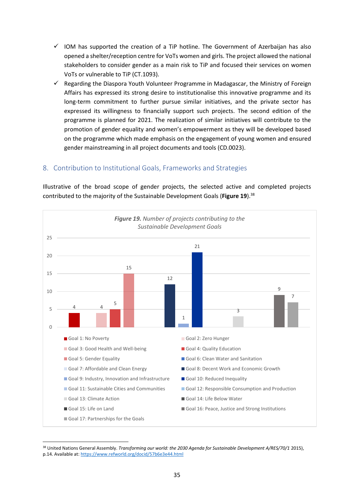- $\checkmark$  IOM has supported the creation of a TiP hotline. The Government of Azerbaijan has also opened a shelter/reception centre for VoTs women and girls. The project allowed the national stakeholders to consider gender as a main risk to TiP and focused their services on women VoTs or vulnerable to TiP (CT.1093).
- Regarding the Diaspora Youth Volunteer Programme in Madagascar, the Ministry of Foreign Affairs has expressed its strong desire to institutionalise this innovative programme and its long-term commitment to further pursue similar initiatives, and the private sector has expressed its willingness to financially support such projects. The second edition of the programme is planned for 2021. The realization of similar initiatives will contribute to the promotion of gender equality and women's empowerment as they will be developed based on the programme which made emphasis on the engagement of young women and ensured gender mainstreaming in all project documents and tools (CD.0023).

# <span id="page-35-0"></span>8. Contribution to Institutional Goals, Frameworks and Strategies

Illustrative of the broad scope of gender projects, the selected active and completed projects contributed to the majority of the Sustainable Development Goals (**Figure 19**). 38



<sup>&</sup>lt;sup>38</sup> United Nations General Assembly. *Transforming our world: the 2030 Agenda for Sustainable Development A/RES/70/1* 2015), p.14. Available at:<https://www.refworld.org/docid/57b6e3e44.html>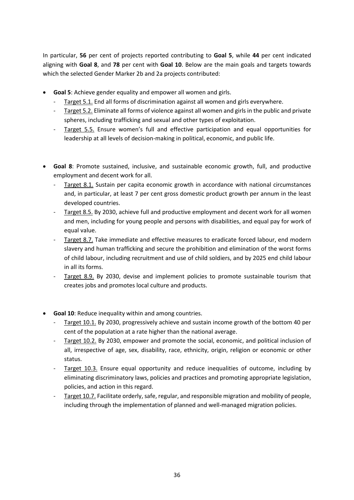In particular, **56** per cent of projects reported contributing to **Goal 5**, while **44** per cent indicated aligning with **Goal 8**, and **78** per cent with **Goal 10**. Below are the main goals and targets towards which the selected Gender Marker 2b and 2a projects contributed:

- **Goal 5**: Achieve gender equality and empower all women and girls.
	- Target 5.1. End all forms of discrimination against all women and girls everywhere.
	- Target 5.2. Eliminate all forms of violence against all women and girls in the public and private spheres, including trafficking and sexual and other types of exploitation.
	- Target 5.5. Ensure women's full and effective participation and equal opportunities for leadership at all levels of decision-making in political, economic, and public life.
- **Goal 8**: Promote sustained, inclusive, and sustainable economic growth, full, and productive employment and decent work for all.
	- Target 8.1. Sustain per capita economic growth in accordance with national circumstances and, in particular, at least 7 per cent gross domestic product growth per annum in the least developed countries.
	- Target 8.5. By 2030, achieve full and productive employment and decent work for all women and men, including for young people and persons with disabilities, and equal pay for work of equal value.
	- Target 8.7. Take immediate and effective measures to eradicate forced labour, end modern slavery and human trafficking and secure the prohibition and elimination of the worst forms of child labour, including recruitment and use of child soldiers, and by 2025 end child labour in all its forms.
	- Target 8.9. By 2030, devise and implement policies to promote sustainable tourism that creates jobs and promotes local culture and products.
- **Goal 10**: Reduce inequality within and among countries.
	- Target 10.1. By 2030, progressively achieve and sustain income growth of the bottom 40 per cent of the population at a rate higher than the national average.
	- Target 10.2. By 2030, empower and promote the social, economic, and political inclusion of all, irrespective of age, sex, disability, race, ethnicity, origin, religion or economic or other status.
	- Target 10.3. Ensure equal opportunity and reduce inequalities of outcome, including by eliminating discriminatory laws, policies and practices and promoting appropriate legislation, policies, and action in this regard.
	- Target 10.7. Facilitate orderly, safe, regular, and responsible migration and mobility of people, including through the implementation of planned and well-managed migration policies.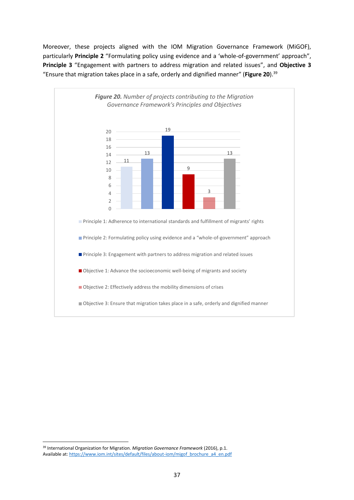Moreover, these projects aligned with the IOM Migration Governance Framework (MiGOF), particularly **Principle 2** "Formulating policy using evidence and a 'whole-of-government' approach", **Principle 3** "Engagement with partners to address migration and related issues", and **Objective 3** "Ensure that migration takes place in a safe, orderly and dignified manner" (**Figure 20**). 39



<sup>39</sup> International Organization for Migration. *Migration Governance Framework* (2016), p.1. Available at[: https://www.iom.int/sites/default/files/about-iom/migof\\_brochure\\_a4\\_en.pdf](https://www.iom.int/sites/default/files/about-iom/migof_brochure_a4_en.pdf)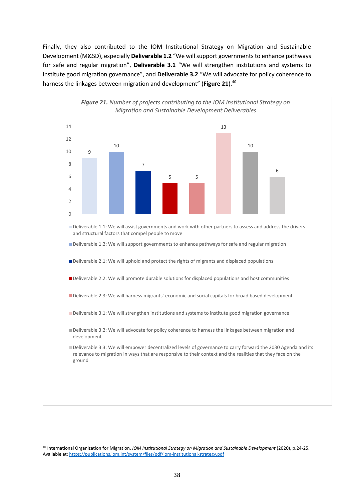Finally, they also contributed to the IOM Institutional Strategy on Migration and Sustainable Development (M&SD), especially **Deliverable 1.2** "We will support governments to enhance pathways for safe and regular migration", **Deliverable 3.1** "We will strengthen institutions and systems to institute good migration governance", and **Deliverable 3.2** "We will advocate for policy coherence to harness the linkages between migration and development" (**Figure 21**). 40



<sup>40</sup> International Organization for Migration. *IOM Institutional Strategy on Migration and Sustainable Development* (2020), p.24-25. Available at[: https://publications.iom.int/system/files/pdf/iom-institutional-strategy.pdf](https://publications.iom.int/system/files/pdf/iom-institutional-strategy.pdf)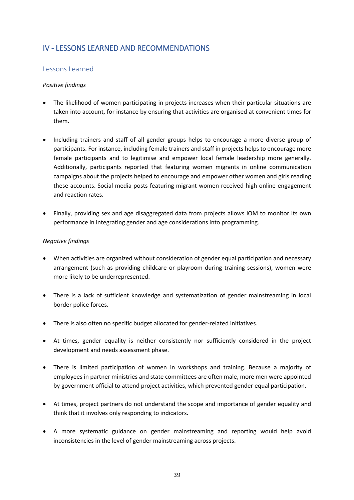# <span id="page-39-0"></span>IV - LESSONS LEARNED AND RECOMMENDATIONS

### <span id="page-39-1"></span>Lessons Learned

### *Positive findings*

- The likelihood of women participating in projects increases when their particular situations are taken into account, for instance by ensuring that activities are organised at convenient times for them.
- Including trainers and staff of all gender groups helps to encourage a more diverse group of participants. For instance, including female trainers and staff in projects helps to encourage more female participants and to legitimise and empower local female leadership more generally. Additionally, participants reported that featuring women migrants in online communication campaigns about the projects helped to encourage and empower other women and girls reading these accounts. Social media posts featuring migrant women received high online engagement and reaction rates.
- Finally, providing sex and age disaggregated data from projects allows IOM to monitor its own performance in integrating gender and age considerations into programming.

#### *Negative findings*

- When activities are organized without consideration of gender equal participation and necessary arrangement (such as providing childcare or playroom during training sessions), women were more likely to be underrepresented.
- There is a lack of sufficient knowledge and systematization of gender mainstreaming in local border police forces.
- There is also often no specific budget allocated for gender-related initiatives.
- At times, gender equality is neither consistently nor sufficiently considered in the project development and needs assessment phase.
- There is limited participation of women in workshops and training. Because a majority of employees in partner ministries and state committees are often male, more men were appointed by government official to attend project activities, which prevented gender equal participation.
- At times, project partners do not understand the scope and importance of gender equality and think that it involves only responding to indicators.
- A more systematic guidance on gender mainstreaming and reporting would help avoid inconsistencies in the level of gender mainstreaming across projects.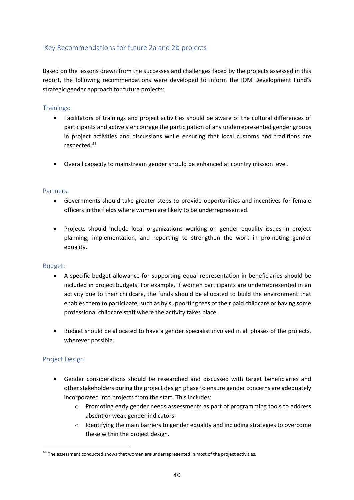# Key Recommendations for future 2a and 2b projects

Based on the lessons drawn from the successes and challenges faced by the projects assessed in this report, the following recommendations were developed to inform the IOM Development Fund's strategic gender approach for future projects:

### Trainings:

- Facilitators of trainings and project activities should be aware of the cultural differences of participants and actively encourage the participation of any underrepresented gender groups in project activities and discussions while ensuring that local customs and traditions are respected. 41
- Overall capacity to mainstream gender should be enhanced at country mission level.

### Partners:

- Governments should take greater steps to provide opportunities and incentives for female officers in the fields where women are likely to be underrepresented.
- Projects should include local organizations working on gender equality issues in project planning, implementation, and reporting to strengthen the work in promoting gender equality.

### Budget:

- A specific budget allowance for supporting equal representation in beneficiaries should be included in project budgets. For example, if women participants are underrepresented in an activity due to their childcare, the funds should be allocated to build the environment that enables them to participate, such as by supporting fees of their paid childcare or having some professional childcare staff where the activity takes place.
- Budget should be allocated to have a gender specialist involved in all phases of the projects, wherever possible.

### Project Design:

- Gender considerations should be researched and discussed with target beneficiaries and other stakeholders during the project design phase to ensure gender concerns are adequately incorporated into projects from the start. This includes:
	- $\circ$  Promoting early gender needs assessments as part of programming tools to address absent or weak gender indicators.
	- $\circ$  Identifying the main barriers to gender equality and including strategies to overcome these within the project design.

 $41$  The assessment conducted shows that women are underrepresented in most of the project activities.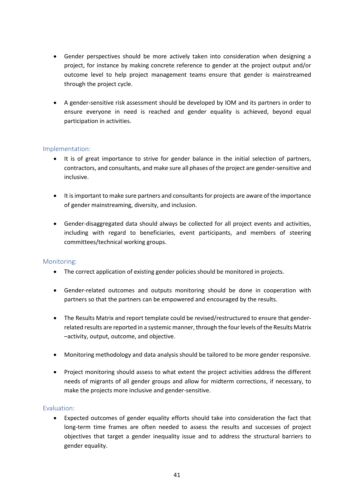- Gender perspectives should be more actively taken into consideration when designing a project, for instance by making concrete reference to gender at the project output and/or outcome level to help project management teams ensure that gender is mainstreamed through the project cycle.
- A gender-sensitive risk assessment should be developed by IOM and its partners in order to ensure everyone in need is reached and gender equality is achieved, beyond equal participation in activities.

## Implementation:

- It is of great importance to strive for gender balance in the initial selection of partners, contractors, and consultants, and make sure all phases of the project are gender-sensitive and inclusive.
- It is important to make sure partners and consultants for projects are aware of the importance of gender mainstreaming, diversity, and inclusion.
- Gender-disaggregated data should always be collected for all project events and activities, including with regard to beneficiaries, event participants, and members of steering committees/technical working groups.

#### Monitoring:

- The correct application of existing gender policies should be monitored in projects.
- Gender-related outcomes and outputs monitoring should be done in cooperation with partners so that the partners can be empowered and encouraged by the results.
- The Results Matrix and report template could be revised/restructured to ensure that genderrelated results are reported in a systemic manner, through the four levels of the Results Matrix –activity, output, outcome, and objective.
- Monitoring methodology and data analysis should be tailored to be more gender responsive.
- Project monitoring should assess to what extent the project activities address the different needs of migrants of all gender groups and allow for midterm corrections, if necessary, to make the projects more inclusive and gender-sensitive.

### Evaluation:

• Expected outcomes of gender equality efforts should take into consideration the fact that long-term time frames are often needed to assess the results and successes of project objectives that target a gender inequality issue and to address the structural barriers to gender equality.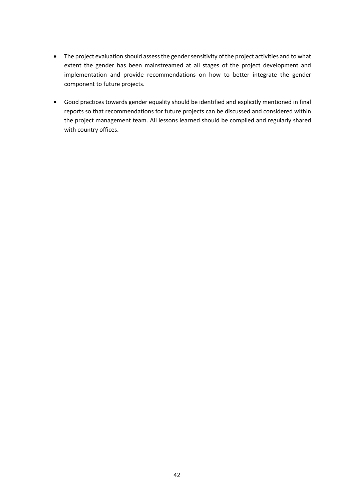- The project evaluation should assess the gender sensitivity of the project activities and to what extent the gender has been mainstreamed at all stages of the project development and implementation and provide recommendations on how to better integrate the gender component to future projects.
- Good practices towards gender equality should be identified and explicitly mentioned in final reports so that recommendations for future projects can be discussed and considered within the project management team. All lessons learned should be compiled and regularly shared with country offices.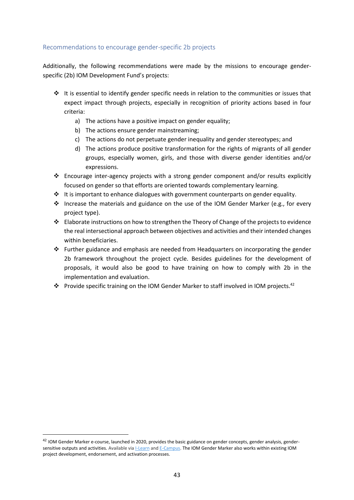### Recommendations to encourage gender-specific 2b projects

Additionally, the following recommendations were made by the missions to encourage genderspecific (2b) IOM Development Fund's projects:

- ❖ It is essential to identify gender specific needs in relation to the communities or issues that expect impact through projects, especially in recognition of priority actions based in four criteria:
	- a) The actions have a positive impact on gender equality;
	- b) The actions ensure gender mainstreaming;
	- c) The actions do not perpetuate gender inequality and gender stereotypes; and
	- d) The actions produce positive transformation for the rights of migrants of all gender groups, especially women, girls, and those with diverse gender identities and/or expressions.
- ❖ Encourage inter-agency projects with a strong gender component and/or results explicitly focused on gender so that efforts are oriented towards complementary learning.
- $\div$  It is important to enhance dialogues with government counterparts on gender equality.
- ❖ Increase the materials and guidance on the use of the IOM Gender Marker (e.g., for every project type).
- ❖ Elaborate instructions on how to strengthen the Theory of Change of the projects to evidence the real intersectional approach between objectives and activities and their intended changes within beneficiaries.
- ❖ Further guidance and emphasis are needed from Headquarters on incorporating the gender 2b framework throughout the project cycle. Besides guidelines for the development of proposals, it would also be good to have training on how to comply with 2b in the implementation and evaluation.
- ❖ Provide specific training on the IOM Gender Marker to staff involved in IOM projects. 42

<sup>&</sup>lt;sup>42</sup> IOM Gender Marker e-course, launched in 2020, provides the basic guidance on gender concepts, gender analysis, gendersensitive outputs and activities. Available via [I-Learn](https://iom.csod.com/LMS/LoDetails/DetailsLo.aspx?loid=797daccd-cf35-4b88-a893-c1fa270906fc&query=?s=1&q=iom%20gender%20marker&back_key=1#t=1) and [E-Campus.](https://www.ecampus.iom.int/course/view.php?id=92) The IOM Gender Marker also works within existing IOM project development, endorsement, and activation processes.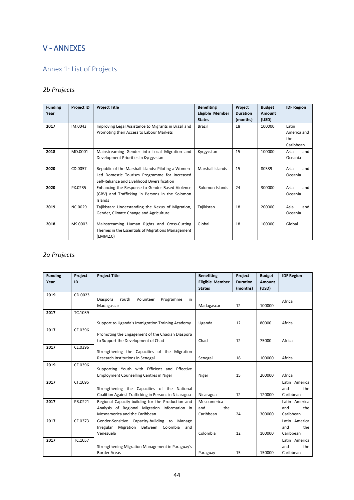# <span id="page-44-0"></span>V - ANNEXES

# <span id="page-44-1"></span>Annex 1: List of Projects

# *2b Projects*

| <b>Funding</b><br>Year | <b>Project ID</b> | <b>Project Title</b>                                                                                                                                | <b>Benefiting</b><br><b>Eligible Member</b><br><b>States</b> | Project<br><b>Duration</b><br>(months) | <b>Budget</b><br>Amount<br>(USD) | <b>IDF Region</b>                        |
|------------------------|-------------------|-----------------------------------------------------------------------------------------------------------------------------------------------------|--------------------------------------------------------------|----------------------------------------|----------------------------------|------------------------------------------|
| 2017                   | IM.0043           | Improving Legal Assistance to Migrants in Brazil and<br>Promoting their Access to Labour Markets                                                    | <b>Brazil</b>                                                | 18                                     | 100000                           | Latin<br>America and<br>the<br>Caribbean |
| 2018                   | MD.0001           | Mainstreaming Gender into Local Migration and<br>Development Priorities In Kyrgyzstan                                                               | Kyrgyzstan                                                   | 15                                     | 100000                           | Asia<br>and<br>Oceania                   |
| 2020                   | CD.0057           | Republic of the Marshall Islands: Piloting a Women-<br>Led Domestic Tourism Programme for Increased<br>Self-Reliance and Livelihood Diversification | Marshall Islands                                             | 15                                     | 80339                            | Asia<br>and<br>Oceania                   |
| 2020                   | PX.0235           | Enhancing the Response to Gender-Based Violence<br>(GBV) and Trafficking in Persons in the Solomon<br>Islands                                       | Solomon Islands                                              | 24                                     | 300000                           | Asia<br>and<br>Oceania                   |
| 2019                   | <b>NC.0029</b>    | Tajikistan: Understanding the Nexus of Migration,<br>Gender, Climate Change and Agriculture                                                         | Tajikistan                                                   | 18                                     | 200000                           | Asia<br>and<br>Oceania                   |
| 2018                   | MS.0003           | Mainstreaming Human Rights and Cross-Cutting<br>Themes in the Essentials of Migrations Management<br>(EMM2.0)                                       | Global                                                       | 18                                     | 100000                           | Global                                   |

# *2a Projects*

| <b>Funding</b> | Project | <b>Project Title</b>                                                                   | <b>Benefiting</b>      | Project         | <b>Budget</b> | <b>IDF Region</b> |
|----------------|---------|----------------------------------------------------------------------------------------|------------------------|-----------------|---------------|-------------------|
| Year           | ID      |                                                                                        | <b>Eligible Member</b> | <b>Duration</b> | <b>Amount</b> |                   |
|                |         |                                                                                        | <b>States</b>          | (months)        | (USD)         |                   |
| 2019           | CD.0023 |                                                                                        |                        |                 |               |                   |
|                |         | Volunteer<br>Diaspora<br>Youth<br>Programme<br>in                                      |                        |                 |               | Africa            |
|                |         | Madagascar                                                                             | Madagascar             | 12              | 100000        |                   |
| 2017           | TC.1039 |                                                                                        |                        |                 |               |                   |
|                |         | Support to Uganda's Immigration Training Academy                                       | Uganda                 | 12              | 80000         | Africa            |
| 2017           | CE.0396 |                                                                                        |                        |                 |               |                   |
|                |         | Promoting the Engagement of the Chadian Diaspora<br>to Support the Development of Chad | Chad                   | 12              | 75000         | Africa            |
|                |         |                                                                                        |                        |                 |               |                   |
| 2017           | CE.0396 | Strengthening the Capacities of the Migration                                          |                        |                 |               |                   |
|                |         | Research Institutions in Senegal                                                       | Senegal                | 18              | 100000        | Africa            |
| 2019           | CE.0396 |                                                                                        |                        |                 |               |                   |
|                |         | Supporting Youth with Efficient and Effective                                          |                        |                 |               |                   |
|                |         | <b>Employment Counselling Centres in Niger</b>                                         | Niger                  | 15              | 200000        | Africa            |
| 2017           | CT.1095 |                                                                                        |                        |                 |               | Latin America     |
|                |         | Strengthening the Capacities of the National                                           |                        |                 |               | and<br>the        |
|                |         | Coalition Against Trafficking in Persons in Nicaragua                                  | Nicaragua              | 12              | 120000        | Caribbean         |
| 2017           | PR.0221 | Regional Capacity-building for the Production and                                      | Mesoamerica            |                 |               | Latin America     |
|                |         | Analysis of Regional Migration Information in                                          | the<br>and             |                 |               | and<br>the        |
|                |         | Mesoamerica and the Caribbean                                                          | Caribbean              | 24              | 300000        | Caribbean         |
| 2017           | CE.0373 | Gender-Sensitive Capacity-building to Manage                                           |                        |                 |               | Latin America     |
|                |         | Migration Between Colombia<br>Irregular<br>and                                         |                        |                 |               | and<br>the        |
|                |         | Venezuela                                                                              | Colombia               | 12              | 100000        | Caribbean         |
| 2017           | TC.1057 |                                                                                        |                        |                 |               | Latin America     |
|                |         | Strengthening Migration Management in Paraguay's                                       |                        |                 |               | the<br>and        |
|                |         | <b>Border Areas</b>                                                                    | Paraguay               | 15              | 150000        | Caribbean         |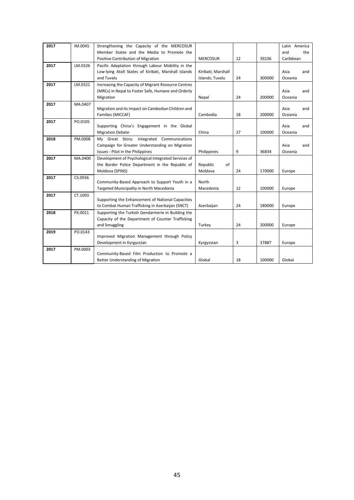| 2017 | IM.0045 | Strengthening the Capacity of the MERCOSUR           |                    |    |        | Latin America |
|------|---------|------------------------------------------------------|--------------------|----|--------|---------------|
|      |         | Member States and the Media to Promote the           |                    |    |        | and<br>the    |
|      |         | Positive Contribution of Migration                   | <b>MERCOSUR</b>    | 12 | 39236  | Caribbean     |
| 2017 | LM.0326 | Pacific Adaptation through Labour Mobility in the    |                    |    |        |               |
|      |         | Low-lying Atoll States of Kiribati, Marshall Islands | Kiribati; Marshall |    |        | Asia<br>and   |
|      |         | and Tuvalu                                           | Islands; Tuvalu    | 24 | 300000 | Oceania       |
| 2017 | LM.0321 | Increasing the Capacity of Migrant Resource Centres  |                    |    |        |               |
|      |         | (MRCs) in Nepal to Foster Safe, Humane and Orderly   |                    |    |        | Asia<br>and   |
|      |         | Migration                                            | Nepal              | 24 | 200000 | Oceania       |
| 2017 | MA.0407 |                                                      |                    |    |        |               |
|      |         | Migration and its Impact on Cambodian Children and   |                    |    | 200000 | Asia<br>and   |
|      |         | Families (MICCAF)                                    | Cambodia           | 18 |        | Oceania       |
| 2017 | PO.0105 | Supporting China's Engagement in the Global          |                    |    |        | Asia<br>and   |
|      |         | <b>Migration Debate</b>                              | China              | 27 | 100000 | Oceania       |
| 2018 | PM.0008 | My Great Story: Integrated Communications            |                    |    |        |               |
|      |         | Campaign for Greater Understanding on Migration      |                    |    |        | Asia<br>and   |
|      |         | Issues - Pilot in the Philippines                    | Philippines        | 9  | 36834  | Oceania       |
| 2017 | MA.0400 | Development of Psychological Integrated Services of  |                    |    |        |               |
|      |         | the Border Police Department in the Republic of      | of<br>Republic     |    |        |               |
|      |         | Moldova (SPINS)                                      | Moldova            | 24 | 170000 | Europe        |
| 2017 | CS.0936 |                                                      |                    |    |        |               |
|      |         | Community-Based Approach to Support Youth in a       | North              |    |        |               |
|      |         | Targeted Municipality in North Macedonia             | Macedonia          | 12 | 100000 | Europe        |
| 2017 | CT.1093 | Supporting the Enhancement of National Capacities    |                    |    |        |               |
|      |         | to Combat Human Trafficking in Azerbaijan (SNCT)     | Azerbaijan         | 24 | 180000 | Europe        |
| 2018 | PX.0011 | Supporting the Turkish Gendarmerie in Building the   |                    |    |        |               |
|      |         | Capacity of the Department of Counter Trafficking    |                    |    |        |               |
|      |         | and Smuggling                                        | Turkey             | 24 | 200000 | Europe        |
| 2019 | PO.0143 |                                                      |                    |    |        |               |
|      |         | Improved Migration Management through Policy         |                    |    |        |               |
|      |         | Development in Kyrgyzstan                            | Kyrgyzstan         | 3  | 37887  | Europe        |
| 2017 | PM.0003 |                                                      |                    |    |        |               |
|      |         | Community-Based Film Production to Promote a         |                    |    |        |               |
|      |         | Better Understanding of Migration                    | Global             | 18 | 100000 | Global        |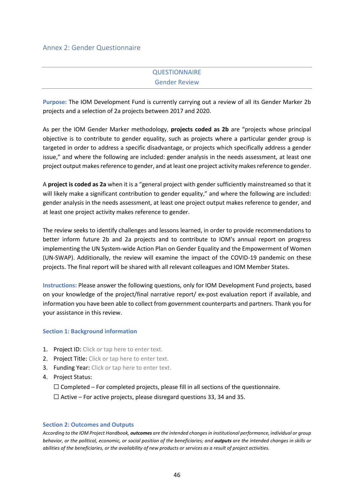#### Annex 2: Gender Questionnaire

# **QUESTIONNAIRE** Gender Review

**Purpose:** The IOM Development Fund is currently carrying out a review of all its Gender Marker 2b projects and a selection of 2a projects between 2017 and 2020.

As per the IOM Gender Marker methodology, **projects coded as 2b** are "projects whose principal objective is to contribute to gender equality, such as projects where a particular gender group is targeted in order to address a specific disadvantage, or projects which specifically address a gender issue," and where the following are included: gender analysis in the needs assessment, at least one project output makes reference to gender, and at least one project activity makes reference to gender.

A **project is coded as 2a** when it is a "general project with gender sufficiently mainstreamed so that it will likely make a significant contribution to gender equality," and where the following are included: gender analysis in the needs assessment, at least one project output makes reference to gender, and at least one project activity makes reference to gender.

The review seeks to identify challenges and lessons learned, in order to provide recommendations to better inform future 2b and 2a projects and to contribute to IOM's annual report on progress implementing the UN System-wide Action Plan on Gender Equality and the Empowerment of Women (UN-SWAP). Additionally, the review will examine the impact of the COVID-19 pandemic on these projects. The final report will be shared with all relevant colleagues and IOM Member States.

**Instructions:** Please answer the following questions, only for IOM Development Fund projects, based on your knowledge of the project/final narrative report/ ex-post evaluation report if available, and information you have been able to collect from government counterparts and partners. Thank you for your assistance in this review.

#### **Section 1: Background information**

- 1. Project ID: Click or tap here to enter text.
- 2. Project Title: Click or tap here to enter text.
- 3. Funding Year: Click or tap here to enter text.
- 4. Project Status:

 $\Box$  Completed – For completed projects, please fill in all sections of the questionnaire.

 $\Box$  Active – For active projects, please disregard questions 33, 34 and 35.

#### **Section 2: Outcomes and Outputs**

*According to the IOM Project Handbook, outcomes are the intended changes in institutional performance, individual or group behavior, or the political, economic, or social position of the beneficiaries; and outputs are the intended changes in skills or abilities of the beneficiaries, or the availability of new products or services as a result of project activities.*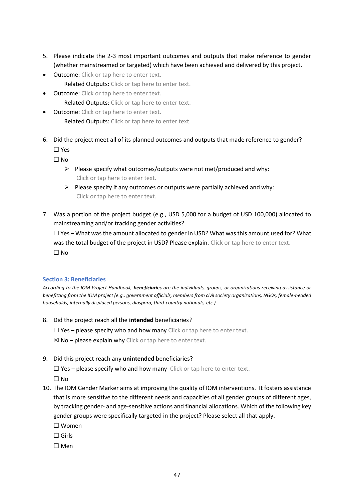- 5. Please indicate the 2-3 most important outcomes and outputs that make reference to gender (whether mainstreamed or targeted) which have been achieved and delivered by this project.
- Outcome: Click or tap here to enter text. Related Outputs: Click or tap here to enter text.
- Outcome: Click or tap here to enter text. Related Outputs: Click or tap here to enter text.
- Outcome: Click or tap here to enter text. Related Outputs: Click or tap here to enter text.
- 6. Did the project meet all of its planned outcomes and outputs that made reference to gender? ☐ Yes

 $\square$  No

- $\triangleright$  Please specify what outcomes/outputs were not met/produced and why: Click or tap here to enter text.
- ➢ Please specify if any outcomes or outputs were partially achieved and why: Click or tap here to enter text.
- 7. Was a portion of the project budget (e.g., USD 5,000 for a budget of USD 100,000) allocated to mainstreaming and/or tracking gender activities?

 $\square$  Yes – What was the amount allocated to gender in USD? What was this amount used for? What was the total budget of the project in USD? Please explain. Click or tap here to enter text. ☐ No

### **Section 3: Beneficiaries**

*According to the IOM Project Handbook, beneficiaries are the individuals, groups, or organizations receiving assistance or benefitting from the IOM project (e.g.: government officials, members from civil society organizations, NGOs, female-headed households, internally displaced persons, diaspora, third-country nationals, etc.).*

8. Did the project reach all the **intended** beneficiaries?

 $\Box$  Yes – please specify who and how many Click or tap here to enter text.

 $\boxtimes$  No – please explain why Click or tap here to enter text.

9. Did this project reach any **unintended** beneficiaries?

 $\Box$  Yes – please specify who and how many Click or tap here to enter text.

☐ No

- 10. The IOM Gender Marker aims at improving the quality of IOM interventions. It fosters assistance that is more sensitive to the different needs and capacities of all gender groups of different ages, by tracking gender- and age-sensitive actions and financial allocations. Which of the following key gender groups were specifically targeted in the project? Please select all that apply.
	- ☐ Women
	- $\Box$  Girls
	- ☐ Men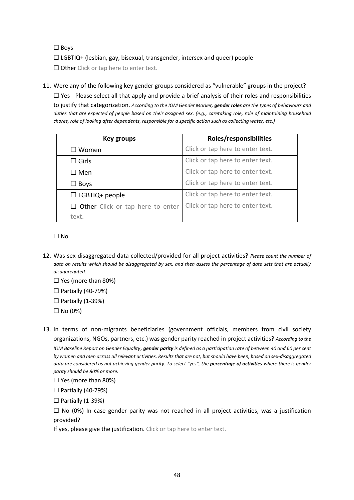☐ Boys

☐ LGBTIQ+ (lesbian, gay, bisexual, transgender, intersex and queer) people

□ Other Click or tap here to enter text.

11. Were any of the following key gender groups considered as "vulnerable" groups in the project?  $\Box$  Yes - Please select all that apply and provide a brief analysis of their roles and responsibilities

to justify that categorization. *According to the IOM Gender Marker, gender roles are the types of behaviours and duties that are expected of people based on their assigned sex. (e.g., caretaking role, role of maintaining household chores, role of looking after dependents, responsible for a specific action such as collecting water, etc.)*

| <b>Key groups</b>                       | Roles/responsibilities           |
|-----------------------------------------|----------------------------------|
| $\square$ Women                         | Click or tap here to enter text. |
| $\square$ Girls                         | Click or tap here to enter text. |
| $\Box$ Men                              | Click or tap here to enter text. |
| $\Box$ Boys                             | Click or tap here to enter text. |
| $\Box$ LGBTIQ+ people                   | Click or tap here to enter text. |
| $\Box$ Other Click or tap here to enter | Click or tap here to enter text. |
| text.                                   |                                  |

☐ No

12. Was sex-disaggregated data collected/provided for all project activities? *Please count the number of data on results which should be disaggregated by sex, and then assess the percentage of data sets that are actually disaggregated.*

□ Yes (more than 80%)

 $\Box$  Partially (40-79%)

 $\Box$  Partially (1-39%)

- $\Box$  No (0%)
- 13. In terms of non-migrants beneficiaries (government officials, members from civil society organizations, NGOs, partners, etc.) was gender parity reached in project activities? *According to the IOM Baseline Report on Gender Equality*, *gender parity is defined as a participation rate of between 40 and 60 per cent by women and men across all relevant activities. Results that are not, but should have been, based on sex-disaggregated data are considered as not achieving gender parity. To select "yes", the percentage of activities where there is gender parity should be 80% or more.*

□ Yes (more than 80%)

☐ Partially (40-79%)

 $\Box$  Partially (1-39%)

 $\square$  No (0%) In case gender parity was not reached in all project activities, was a justification provided?

If yes, please give the justification. Click or tap here to enter text.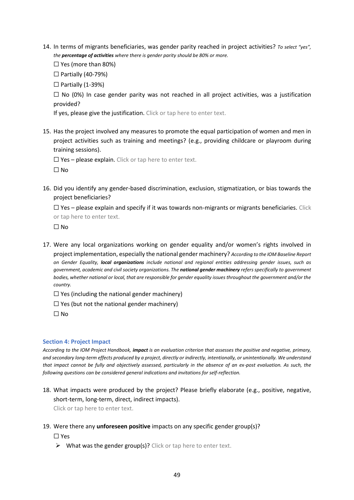- 14. In terms of migrants beneficiaries, was gender parity reached in project activities? *To select "yes", the percentage of activities where there is gender parity should be 80% or more.*
	- ☐ Yes (more than 80%)

☐ Partially (40-79%)

 $\Box$  Partially (1-39%)

 $\square$  No (0%) In case gender parity was not reached in all project activities, was a justification provided?

If yes, please give the justification. Click or tap here to enter text.

15. Has the project involved any measures to promote the equal participation of women and men in project activities such as training and meetings? (e.g., providing childcare or playroom during training sessions).

 $\Box$  Yes – please explain. Click or tap here to enter text.

 $\square$  No

16. Did you identify any gender-based discrimination, exclusion, stigmatization, or bias towards the project beneficiaries?

 $\Box$  Yes – please explain and specify if it was towards non-migrants or migrants beneficiaries. Click or tap here to enter text.

 $\Box$  No

- 17. Were any local organizations working on gender equality and/or women's rights involved in project implementation, especially the national gender machinery? *According to the IOM Baseline Report on Gender Equality, local organizations include national and regional entities addressing gender issues, such as government, academic and civil society organizations. The national gender machinery refers specifically to government bodies, whether national or local, that are responsible for gender equality issues throughout the government and/or the country.*
	- $\Box$  Yes (including the national gender machinery)
	- $\Box$  Yes (but not the national gender machinery)

 $\Box$  No

#### **Section 4: Project Impact**

*According to the IOM Project Handbook, impact is an evaluation criterion that assesses the positive and negative, primary, and secondary long-term effects produced by a project, directly or indirectly, intentionally, or unintentionally. We understand that impact cannot be fully and objectively assessed, particularly in the absence of an ex-post evaluation. As such, the following questions can be considered general indications and invitations for self-reflection.*

18. What impacts were produced by the project? Please briefly elaborate (e.g., positive, negative, short-term, long-term, direct, indirect impacts).

Click or tap here to enter text.

#### 19. Were there any **unforeseen positive** impacts on any specific gender group(s)?

#### ☐ Yes

 $\triangleright$  What was the gender group(s)? Click or tap here to enter text.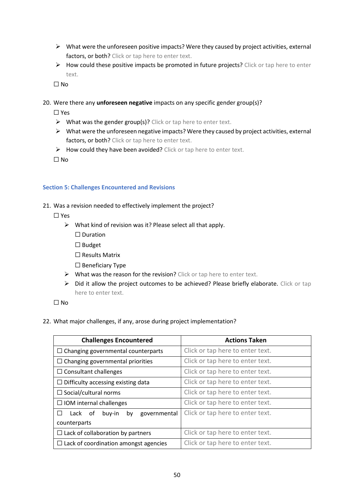- ➢ What were the unforeseen positive impacts? Were they caused by project activities, external factors, or both? Click or tap here to enter text.
- $\triangleright$  How could these positive impacts be promoted in future projects? Click or tap here to enter text.

 $\Box$  No

20. Were there any **unforeseen negative** impacts on any specific gender group(s)?

☐ Yes

- $\triangleright$  What was the gender group(s)? Click or tap here to enter text.
- $\triangleright$  What were the unforeseen negative impacts? Were they caused by project activities, external factors, or both? Click or tap here to enter text.
- $\triangleright$  How could they have been avoided? Click or tap here to enter text.

☐ No

#### **Section 5: Challenges Encountered and Revisions**

21. Was a revision needed to effectively implement the project?

☐ Yes

- $\triangleright$  What kind of revision was it? Please select all that apply.
	- □ Duration
	- ☐ Budget
	- ☐ Results Matrix
	- ☐ Beneficiary Type
- $\triangleright$  What was the reason for the revision? Click or tap here to enter text.
- ➢ Did it allow the project outcomes to be achieved? Please briefly elaborate. Click or tap here to enter text.

 $\square$  No

#### 22. What major challenges, if any, arose during project implementation?

| <b>Challenges Encountered</b>                | <b>Actions Taken</b>             |  |  |
|----------------------------------------------|----------------------------------|--|--|
| $\Box$ Changing governmental counterparts    | Click or tap here to enter text. |  |  |
| $\Box$ Changing governmental priorities      | Click or tap here to enter text. |  |  |
| $\Box$ Consultant challenges                 | Click or tap here to enter text. |  |  |
| $\Box$ Difficulty accessing existing data    | Click or tap here to enter text. |  |  |
| $\Box$ Social/cultural norms                 | Click or tap here to enter text. |  |  |
| $\Box$ IOM internal challenges               | Click or tap here to enter text. |  |  |
| governmental<br>Lack<br>buy-in<br>by<br>0t   | Click or tap here to enter text. |  |  |
| counterparts                                 |                                  |  |  |
| $\Box$ Lack of collaboration by partners     | Click or tap here to enter text. |  |  |
| $\Box$ Lack of coordination amongst agencies | Click or tap here to enter text. |  |  |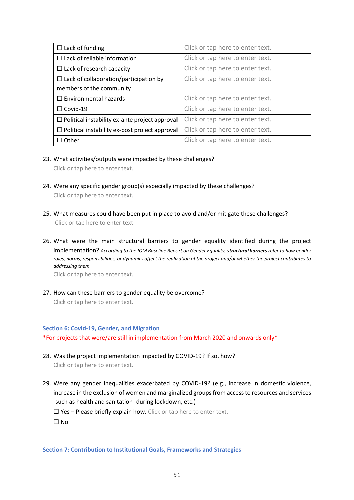| $\Box$ Lack of funding                                | Click or tap here to enter text. |
|-------------------------------------------------------|----------------------------------|
| $\Box$ Lack of reliable information                   | Click or tap here to enter text. |
| $\Box$ Lack of research capacity                      | Click or tap here to enter text. |
| $\Box$ Lack of collaboration/participation by         | Click or tap here to enter text. |
| members of the community                              |                                  |
| $\Box$ Environmental hazards                          | Click or tap here to enter text. |
| $\Box$ Covid-19                                       | Click or tap here to enter text. |
| $\Box$ Political instability ex-ante project approval | Click or tap here to enter text. |
| $\Box$ Political instability ex-post project approval | Click or tap here to enter text. |
| $\Box$ Other                                          | Click or tap here to enter text. |

- 23. What activities/outputs were impacted by these challenges? Click or tap here to enter text.
- 24. Were any specific gender group(s) especially impacted by these challenges? Click or tap here to enter text.
- 25. What measures could have been put in place to avoid and/or mitigate these challenges? Click or tap here to enter text.
- 26. What were the main structural barriers to gender equality identified during the project implementation? *According to the IOM Baseline Report on Gender Equality, structural barriers refer to how gender roles, norms, responsibilities, or dynamics affect the realization of the project and/or whether the project contributes to addressing them.*

Click or tap here to enter text.

27. How can these barriers to gender equality be overcome? Click or tap here to enter text.

#### **Section 6: Covid-19, Gender, and Migration**

\*For projects that were/are still in implementation from March 2020 and onwards only\*

- 28. Was the project implementation impacted by COVID-19? If so, how? Click or tap here to enter text.
- 29. Were any gender inequalities exacerbated by COVID-19? (e.g., increase in domestic violence, increase in the exclusion of women and marginalized groups from access to resources and services -such as health and sanitation- during lockdown, etc.)

 $\Box$  Yes – Please briefly explain how. Click or tap here to enter text.

 $\Box$  No

#### **Section 7: Contribution to Institutional Goals, Frameworks and Strategies**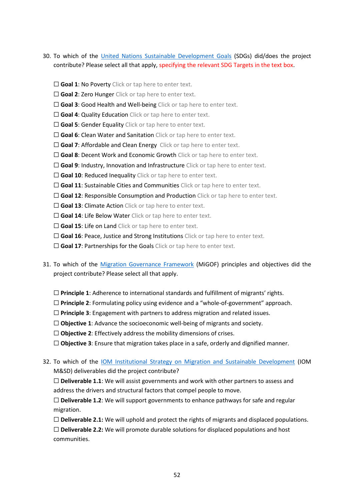- 30. To which of the [United Nations Sustainable Development Goals](https://sdgs.un.org/goals) (SDGs) did/does the project contribute? Please select all that apply, specifying the relevant SDG Targets in the text box.
	- □ Goal 1: No Poverty Click or tap here to enter text.
	- □ Goal 2: Zero Hunger Click or tap here to enter text.
	- □ Goal 3: Good Health and Well-being Click or tap here to enter text.
	- □ Goal 4: Quality Education Click or tap here to enter text.
	- □ Goal 5: Gender Equality Click or tap here to enter text.
	- □ Goal 6: Clean Water and Sanitation Click or tap here to enter text.
	- □ Goal 7: Affordable and Clean Energy Click or tap here to enter text.
	- □ Goal 8: Decent Work and Economic Growth Click or tap here to enter text.
	- □ Goal 9: Industry, Innovation and Infrastructure Click or tap here to enter text.
	- □ Goal 10: Reduced Inequality Click or tap here to enter text.
	- □ Goal 11: Sustainable Cities and Communities Click or tap here to enter text.
	- □ Goal 12: Responsible Consumption and Production Click or tap here to enter text.
	- □ Goal 13: Climate Action Click or tap here to enter text.
	- □ Goal 14: Life Below Water Click or tap here to enter text.
	- □ Goal 15: Life on Land Click or tap here to enter text.
	- □ **Goal 16**: Peace, Justice and Strong Institutions Click or tap here to enter text.
	- □ Goal 17: Partnerships for the Goals Click or tap here to enter text.
- 31. To which of the [Migration Governance Framework](https://www.iom.int/sites/default/files/about-iom/migof_brochure_a4_en.pdf) (MiGOF) principles and objectives did the project contribute? Please select all that apply.
	- ☐ **Principle 1**: Adherence to international standards and fulfillment of migrants' rights.
	- ☐ **Principle 2**: Formulating policy using evidence and a "whole-of-government" approach.
	- ☐ **Principle 3**: Engagement with partners to address migration and related issues.
	- ☐ **Objective 1**: Advance the socioeconomic well-being of migrants and society.
	- ☐ **Objective 2**: Effectively address the mobility dimensions of crises.
	- ☐ **Objective 3**: Ensure that migration takes place in a safe, orderly and dignified manner.
- 32. To which of the [IOM Institutional Strategy on Migration and Sustainable Development](https://publications.iom.int/system/files/pdf/iom-institutional-strategy.pdf) (IOM M&SD) deliverables did the project contribute?

☐ **Deliverable 1.1**: We will assist governments and work with other partners to assess and address the drivers and structural factors that compel people to move.

☐ **Deliverable 1.2**: We will support governments to enhance pathways for safe and regular migration.

☐ **Deliverable 2.1:** We will uphold and protect the rights of migrants and displaced populations.

☐ **Deliverable 2.2:** We will promote durable solutions for displaced populations and host communities.